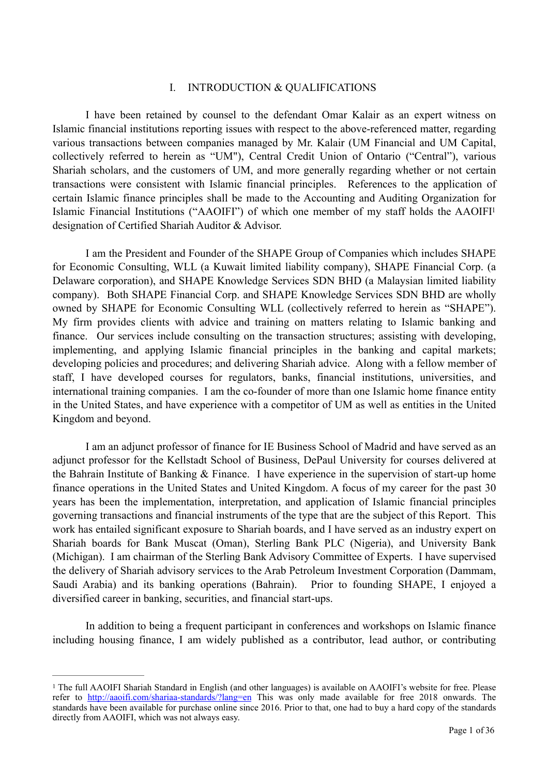#### <span id="page-0-1"></span>I. INTRODUCTION & QUALIFICATIONS

 I have been retained by counsel to the defendant Omar Kalair as an expert witness on Islamic financial institutions reporting issues with respect to the above-referenced matter, regarding various transactions between companies managed by Mr. Kalair (UM Financial and UM Capital, collectively referred to herein as "UM"), Central Credit Union of Ontario ("Central"), various Shariah scholars, and the customers of UM, and more generally regarding whether or not certain transactions were consistent with Islamic financial principles. References to the application of certain Islamic finance principles shall be made to the Accounting and Auditing Organization for Islamic Financial Institutions ("AAOIFI") of which one member of my staff holds the AAOIF[I1](#page-0-0) designation of Certified Shariah Auditor & Advisor.

 I am the President and Founder of the SHAPE Group of Companies which includes SHAPE for Economic Consulting, WLL (a Kuwait limited liability company), SHAPE Financial Corp. (a Delaware corporation), and SHAPE Knowledge Services SDN BHD (a Malaysian limited liability company). Both SHAPE Financial Corp. and SHAPE Knowledge Services SDN BHD are wholly owned by SHAPE for Economic Consulting WLL (collectively referred to herein as "SHAPE"). My firm provides clients with advice and training on matters relating to Islamic banking and finance. Our services include consulting on the transaction structures; assisting with developing, implementing, and applying Islamic financial principles in the banking and capital markets; developing policies and procedures; and delivering Shariah advice. Along with a fellow member of staff, I have developed courses for regulators, banks, financial institutions, universities, and international training companies. I am the co-founder of more than one Islamic home finance entity in the United States, and have experience with a competitor of UM as well as entities in the United Kingdom and beyond.

 I am an adjunct professor of finance for IE Business School of Madrid and have served as an adjunct professor for the Kellstadt School of Business, DePaul University for courses delivered at the Bahrain Institute of Banking & Finance. I have experience in the supervision of start-up home finance operations in the United States and United Kingdom. A focus of my career for the past 30 years has been the implementation, interpretation, and application of Islamic financial principles governing transactions and financial instruments of the type that are the subject of this Report. This work has entailed significant exposure to Shariah boards, and I have served as an industry expert on Shariah boards for Bank Muscat (Oman), Sterling Bank PLC (Nigeria), and University Bank (Michigan). I am chairman of the Sterling Bank Advisory Committee of Experts. I have supervised the delivery of Shariah advisory services to the Arab Petroleum Investment Corporation (Dammam, Saudi Arabia) and its banking operations (Bahrain). Prior to founding SHAPE, I enjoyed a diversified career in banking, securities, and financial start-ups.

 In addition to being a frequent participant in conferences and workshops on Islamic finance including housing finance, I am widely published as a contributor, lead author, or contributing

<span id="page-0-0"></span><sup>&</sup>lt;sup>[1](#page-0-1)</sup> The full AAOIFI Shariah Standard in English (and other languages) is available on AAOIFI's website for free. Please refer to <http://aaoifi.com/shariaa-standards/?lang=en> This was only made available for free 2018 onwards. The standards have been available for purchase online since 2016. Prior to that, one had to buy a hard copy of the standards directly from AAOIFI, which was not always easy.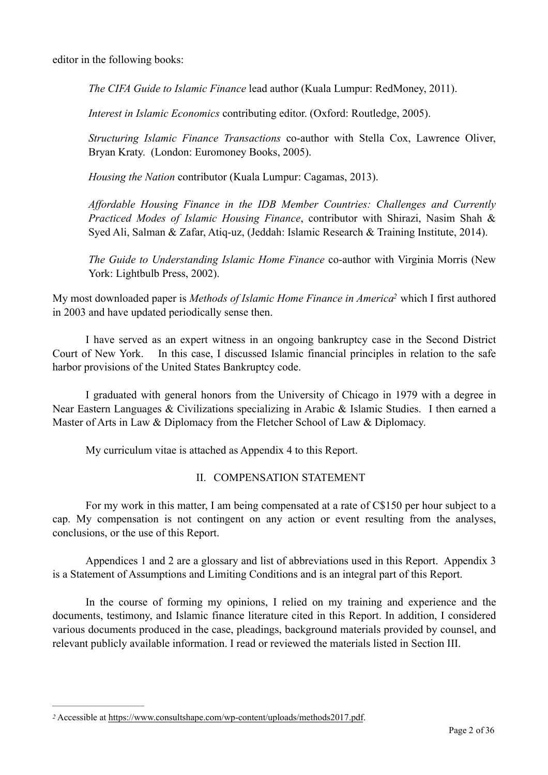editor in the following books:

*The CIFA Guide to Islamic Finance* lead author (Kuala Lumpur: RedMoney, 2011).

*Interest in Islamic Economics* contributing editor. (Oxford: Routledge, 2005).

*Structuring Islamic Finance Transactions* co-author with Stella Cox, Lawrence Oliver, Bryan Kraty. (London: Euromoney Books, 2005).

*Housing the Nation* contributor (Kuala Lumpur: Cagamas, 2013).

*Affordable Housing Finance in the IDB Member Countries: Challenges and Currently Practiced Modes of Islamic Housing Finance*, contributor with Shirazi, Nasim Shah & Syed Ali, Salman & Zafar, Atiq-uz, (Jeddah: Islamic Research & Training Institute, 2014).

*The Guide to Understanding Islamic Home Finance* co-author with Virginia Morris (New York: Lightbulb Press, 2002).

My most downloaded paper is *Methods of Islamic Home Finance in America*<sup>[2](#page-1-0)</sup> which I first authored in 2003 and have updated periodically sense then.

 I have served as an expert witness in an ongoing bankruptcy case in the Second District Court of New York. In this case, I discussed Islamic financial principles in relation to the safe harbor provisions of the United States Bankruptcy code.

 I graduated with general honors from the University of Chicago in 1979 with a degree in Near Eastern Languages & Civilizations specializing in Arabic & Islamic Studies. I then earned a Master of Arts in Law & Diplomacy from the Fletcher School of Law & Diplomacy.

My curriculum vitae is attached as Appendix 4 to this Report.

#### <span id="page-1-1"></span>II. COMPENSATION STATEMENT

 For my work in this matter, I am being compensated at a rate of C\$150 per hour subject to a cap. My compensation is not contingent on any action or event resulting from the analyses, conclusions, or the use of this Report.

 Appendices 1 and 2 are a glossary and list of abbreviations used in this Report. Appendix 3 is a Statement of Assumptions and Limiting Conditions and is an integral part of this Report.

 In the course of forming my opinions, I relied on my training and experience and the documents, testimony, and Islamic finance literature cited in this Report. In addition, I considered various documents produced in the case, pleadings, background materials provided by counsel, and relevant publicly available information. I read or reviewed the materials listed in Section III.

<span id="page-1-0"></span>Accessible at <https://www.consultshape.com/wp-content/uploads/methods2017.pdf>. *[2](#page-1-1)*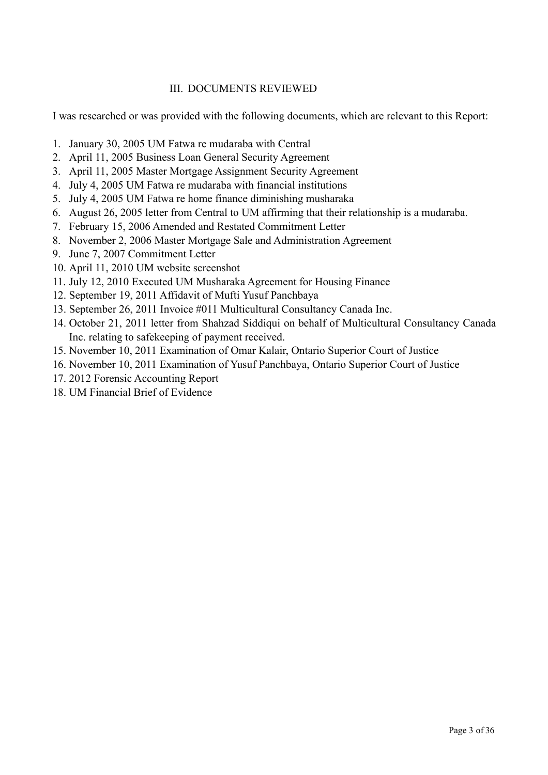# III. DOCUMENTS REVIEWED

I was researched or was provided with the following documents, which are relevant to this Report:

- 1. January 30, 2005 UM Fatwa re mudaraba with Central
- 2. April 11, 2005 Business Loan General Security Agreement
- 3. April 11, 2005 Master Mortgage Assignment Security Agreement
- 4. July 4, 2005 UM Fatwa re mudaraba with financial institutions
- 5. July 4, 2005 UM Fatwa re home finance diminishing musharaka
- 6. August 26, 2005 letter from Central to UM affirming that their relationship is a mudaraba.
- 7. February 15, 2006 Amended and Restated Commitment Letter
- 8. November 2, 2006 Master Mortgage Sale and Administration Agreement
- 9. June 7, 2007 Commitment Letter
- 10. April 11, 2010 UM website screenshot
- 11. July 12, 2010 Executed UM Musharaka Agreement for Housing Finance
- 12. September 19, 2011 Affidavit of Mufti Yusuf Panchbaya
- 13. September 26, 2011 Invoice #011 Multicultural Consultancy Canada Inc.
- 14. October 21, 2011 letter from Shahzad Siddiqui on behalf of Multicultural Consultancy Canada Inc. relating to safekeeping of payment received.
- 15. November 10, 2011 Examination of Omar Kalair, Ontario Superior Court of Justice
- 16. November 10, 2011 Examination of Yusuf Panchbaya, Ontario Superior Court of Justice
- 17. 2012 Forensic Accounting Report
- 18. UM Financial Brief of Evidence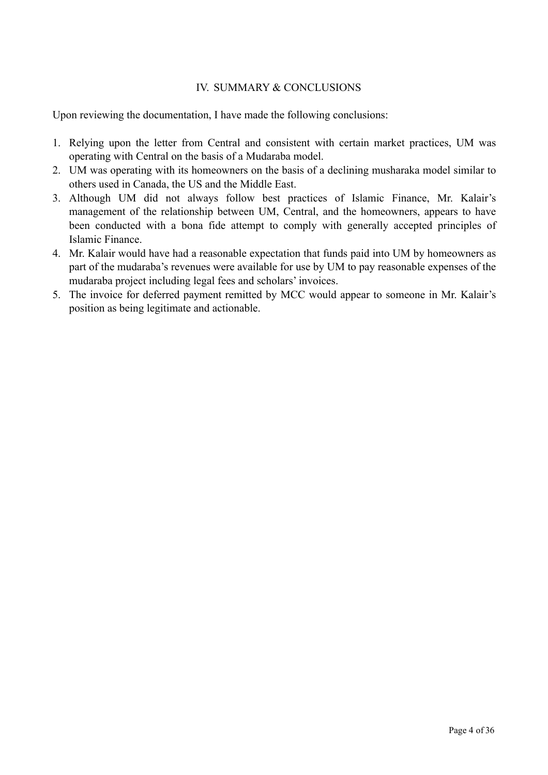# IV. SUMMARY & CONCLUSIONS

Upon reviewing the documentation, I have made the following conclusions:

- 1. Relying upon the letter from Central and consistent with certain market practices, UM was operating with Central on the basis of a Mudaraba model.
- 2. UM was operating with its homeowners on the basis of a declining musharaka model similar to others used in Canada, the US and the Middle East.
- 3. Although UM did not always follow best practices of Islamic Finance, Mr. Kalair's management of the relationship between UM, Central, and the homeowners, appears to have been conducted with a bona fide attempt to comply with generally accepted principles of Islamic Finance.
- 4. Mr. Kalair would have had a reasonable expectation that funds paid into UM by homeowners as part of the mudaraba's revenues were available for use by UM to pay reasonable expenses of the mudaraba project including legal fees and scholars' invoices.
- 5. The invoice for deferred payment remitted by MCC would appear to someone in Mr. Kalair's position as being legitimate and actionable.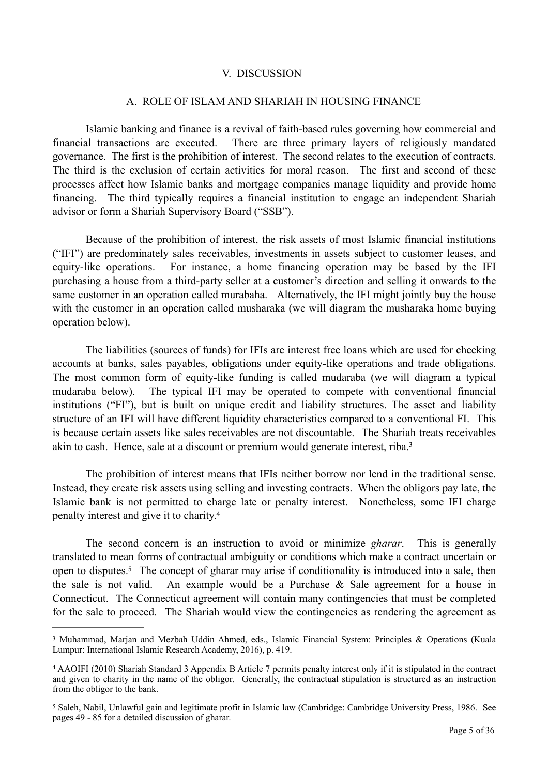#### V. DISCUSSION

#### A. ROLE OF ISLAM AND SHARIAH IN HOUSING FINANCE

 Islamic banking and finance is a revival of faith-based rules governing how commercial and financial transactions are executed. There are three primary layers of religiously mandated governance. The first is the prohibition of interest. The second relates to the execution of contracts. The third is the exclusion of certain activities for moral reason. The first and second of these processes affect how Islamic banks and mortgage companies manage liquidity and provide home financing. The third typically requires a financial institution to engage an independent Shariah advisor or form a Shariah Supervisory Board ("SSB").

 Because of the prohibition of interest, the risk assets of most Islamic financial institutions ("IFI") are predominately sales receivables, investments in assets subject to customer leases, and equity-like operations. For instance, a home financing operation may be based by the IFI purchasing a house from a third-party seller at a customer's direction and selling it onwards to the same customer in an operation called murabaha. Alternatively, the IFI might jointly buy the house with the customer in an operation called musharaka (we will diagram the musharaka home buying operation below).

 The liabilities (sources of funds) for IFIs are interest free loans which are used for checking accounts at banks, sales payables, obligations under equity-like operations and trade obligations. The most common form of equity-like funding is called mudaraba (we will diagram a typical mudaraba below). The typical IFI may be operated to compete with conventional financial institutions ("FI"), but is built on unique credit and liability structures. The asset and liability structure of an IFI will have different liquidity characteristics compared to a conventional FI. This is because certain assets like sales receivables are not discountable. The Shariah treats receivables akin to cash. Hence, sale at a discount or premium would generate interest, riba[.3](#page-4-0)

<span id="page-4-3"></span> The prohibition of interest means that IFIs neither borrow nor lend in the traditional sense. Instead, they create risk assets using selling and investing contracts. When the obligors pay late, the Islamic bank is not permitted to charge late or penalty interest. Nonetheless, some IFI charge penalty interest and give it to charity[.4](#page-4-1)

<span id="page-4-5"></span><span id="page-4-4"></span> The second concern is an instruction to avoid or minimize *gharar*. This is generally translated to mean forms of contractual ambiguity or conditions which make a contract uncertain or open to disputes[.](#page-4-2)<sup>[5](#page-4-2)</sup> The concept of gharar may arise if conditionality is introduced into a sale, then the sale is not valid. An example would be a Purchase & Sale agreement for a house in Connecticut. The Connecticut agreement will contain many contingencies that must be completed for the sale to proceed. The Shariah would view the contingencies as rendering the agreement as

<span id="page-4-0"></span><sup>&</sup>lt;sup>[3](#page-4-3)</sup> Muhammad, Marjan and Mezbah Uddin Ahmed, eds., Islamic Financial System: Principles & Operations (Kuala Lumpur: International Islamic Research Academy, 2016), p. 419.

<span id="page-4-1"></span>AAOIFI (2010) Shariah Standard 3 Appendix B Article 7 permits penalty interest only if it is stipulated in the contract [4](#page-4-4) and given to charity in the name of the obligor. Generally, the contractual stipulation is structured as an instruction from the obligor to the bank.

<span id="page-4-2"></span><sup>&</sup>lt;sup>[5](#page-4-5)</sup> Saleh, Nabil, Unlawful gain and legitimate profit in Islamic law (Cambridge: Cambridge University Press, 1986. See pages 49 - 85 for a detailed discussion of gharar.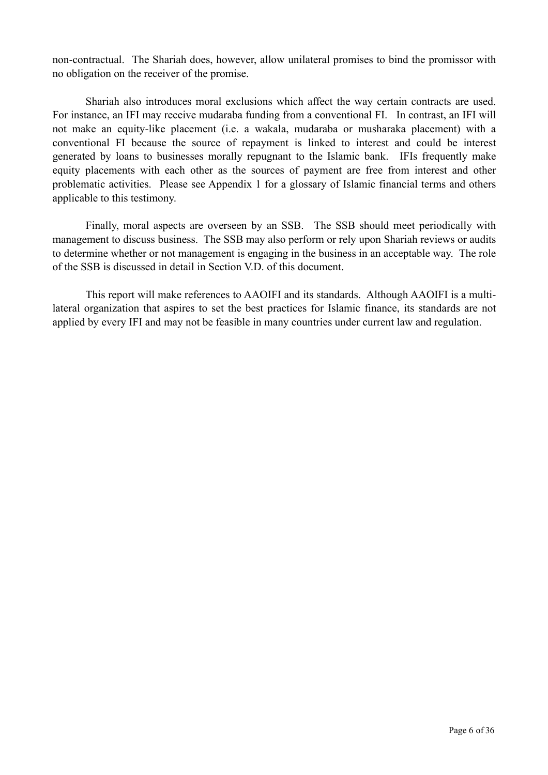non-contractual. The Shariah does, however, allow unilateral promises to bind the promissor with no obligation on the receiver of the promise.

 Shariah also introduces moral exclusions which affect the way certain contracts are used. For instance, an IFI may receive mudaraba funding from a conventional FI. In contrast, an IFI will not make an equity-like placement (i.e. a wakala, mudaraba or musharaka placement) with a conventional FI because the source of repayment is linked to interest and could be interest generated by loans to businesses morally repugnant to the Islamic bank. IFIs frequently make equity placements with each other as the sources of payment are free from interest and other problematic activities. Please see Appendix 1 for a glossary of Islamic financial terms and others applicable to this testimony.

 Finally, moral aspects are overseen by an SSB. The SSB should meet periodically with management to discuss business. The SSB may also perform or rely upon Shariah reviews or audits to determine whether or not management is engaging in the business in an acceptable way. The role of the SSB is discussed in detail in Section V.D. of this document.

 This report will make references to AAOIFI and its standards. Although AAOIFI is a multilateral organization that aspires to set the best practices for Islamic finance, its standards are not applied by every IFI and may not be feasible in many countries under current law and regulation.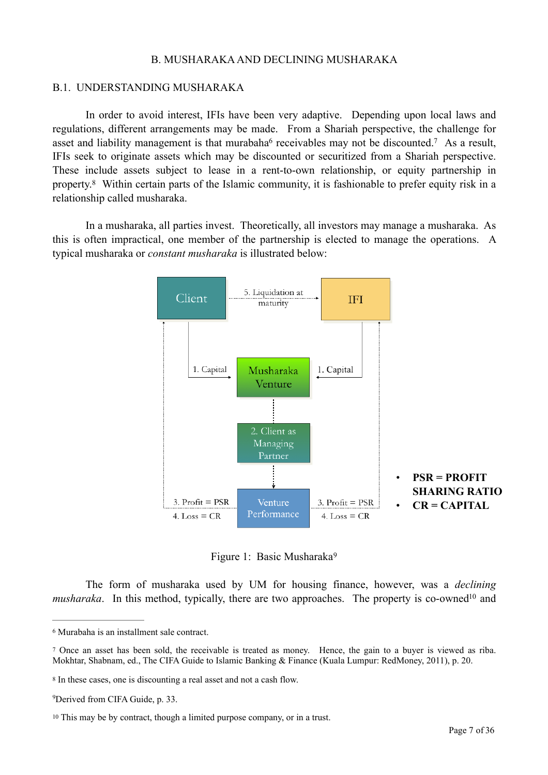#### <span id="page-6-6"></span><span id="page-6-5"></span>B. MUSHARAKA AND DECLINING MUSHARAKA

#### B.1. UNDERSTANDING MUSHARAKA

 In order to avoid interest, IFIs have been very adaptive. Depending upon local laws and regulations, different arrangements may be made. From a Shariah perspective, the challenge for [a](#page-6-0)sset and liability management is that murabaha<sup>6</sup> receivables may not be discounted[.](#page-6-1)<sup>7</sup> As a result, IFIs seek to originate assets which may be discounted or securitized from a Shariah perspective. These include assets subject to lease in a rent-to-own relationship, or equity partnership in property.<sup>8</sup>Within certain parts of the Islamic community, it is fashionable to prefer equity risk in a relationship called musharaka.

<span id="page-6-7"></span> In a musharaka, all parties invest. Theoretically, all investors may manage a musharaka. As this is often impractical, one member of the partnership is elected to manage the operations. A typical musharaka or *constant musharaka* is illustrated below:



<span id="page-6-9"></span><span id="page-6-8"></span>Figure 1: Basic Musharaka[9](#page-6-3)

 The form of musharaka used by UM for housing finance, however, was a *declining musharaka*. In this metho[d](#page-6-4), typically, there are two approaches. The property is co-owned<sup>[10](#page-6-4)</sup> and

<span id="page-6-0"></span>Murabaha is an installment sale contract. [6](#page-6-5)

<span id="page-6-1"></span>Once an asset has been sold, the receivable is treated as money. Hence, the gain to a buyer is viewed as riba. [7](#page-6-6) Mokhtar, Shabnam, ed., The CIFA Guide to Islamic Banking & Finance (Kuala Lumpur: RedMoney, 2011), p. 20.

<span id="page-6-2"></span><sup>&</sup>lt;sup>[8](#page-6-7)</sup> In these cases, one is discounting a real asset and not a cash flow.

<span id="page-6-3"></span><sup>&</sup>lt;sup>[9](#page-6-8)</sup>Derived from CIFA Guide, p. 33.

<span id="page-6-4"></span><sup>&</sup>lt;sup>[10](#page-6-9)</sup> This may be by contract, though a limited purpose company, or in a trust.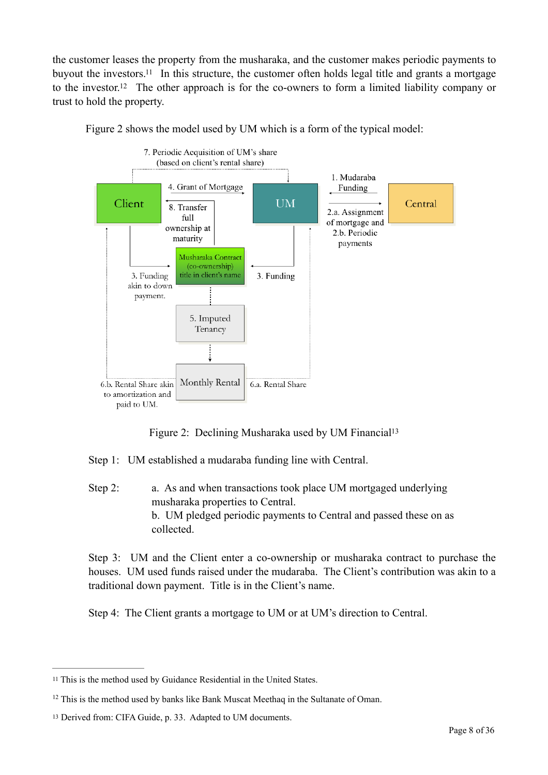the customer leases the property from the musharaka, and the customer makes periodic payments to buyout the investors[.](#page-7-0)<sup>[11](#page-7-0)</sup> In this structure, the customer often holds legal title and grants a mortgage to the investor[.](#page-7-1)<sup>[12](#page-7-1)</sup> The other approach is for the co-owners to form a limited liability company or trust to hold the property.



<span id="page-7-4"></span><span id="page-7-3"></span>Figure 2 shows the model used by UM which is a form of the typical model:

<span id="page-7-5"></span>Figure 2: Declining Musharaka used by UM Financial<sup>13</sup>

Step 1: UM established a mudaraba funding line with Central.

Step 2: a. As and when transactions took place UM mortgaged underlying musharaka properties to Central. b. UM pledged periodic payments to Central and passed these on as collected.

Step 3: UM and the Client enter a co-ownership or musharaka contract to purchase the houses. UM used funds raised under the mudaraba. The Client's contribution was akin to a traditional down payment. Title is in the Client's name.

Step 4: The Client grants a mortgage to UM or at UM's direction to Central.

<span id="page-7-0"></span><sup>&</sup>lt;sup>[11](#page-7-3)</sup> This is the method used by Guidance Residential in the United States.

<span id="page-7-1"></span> $12$  This is the method used by banks like Bank Muscat Meethaq in the Sultanate of Oman.

<span id="page-7-2"></span><sup>&</sup>lt;sup>[13](#page-7-5)</sup> Derived from: CIFA Guide, p. 33. Adapted to UM documents.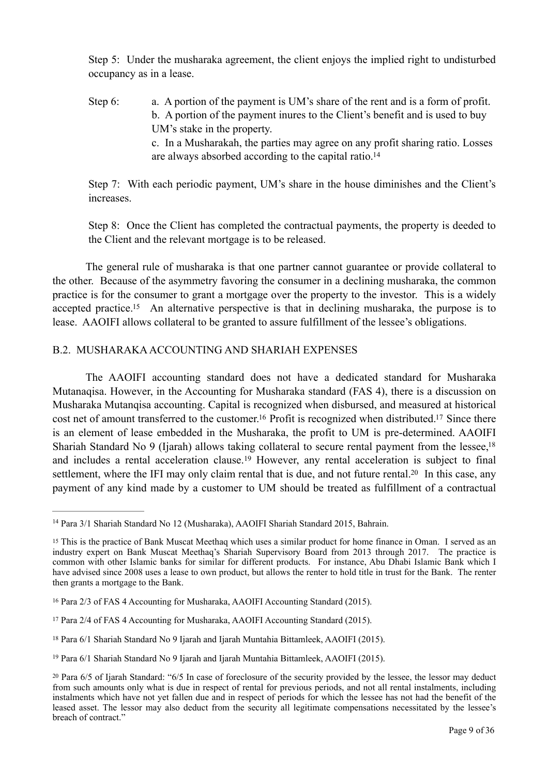Step 5: Under the musharaka agreement, the client enjoys the implied right to undisturbed occupancy as in a lease.

Step 6: a. A portion of the payment is UM's share of the rent and is a form of profit. b. A portion of the payment inures to the Client's benefit and is used to buy UM's stake in the property. c. In a Musharakah, the parties may agree on any profit sharing ratio. Losses are always absorbed according to the capital ratio[.14](#page-8-0)

<span id="page-8-7"></span>Step 7: With each periodic payment, UM's share in the house diminishes and the Client's increases.

Step 8: Once the Client has completed the contractual payments, the property is deeded to the Client and the relevant mortgage is to be released.

<span id="page-8-8"></span> The general rule of musharaka is that one partner cannot guarantee or provide collateral to the other. Because of the asymmetry favoring the consumer in a declining musharaka, the common practice is for the consumer to grant a mortgage over the property to the investor. This is a widely accepted practice[.](#page-8-1)<sup>[15](#page-8-1)</sup> An alternative perspective is that in declining musharaka, the purpose is to lease. AAOIFI allows collateral to be granted to assure fulfillment of the lessee's obligations.

# B.2. MUSHARAKA ACCOUNTING AND SHARIAH EXPENSES

<span id="page-8-11"></span><span id="page-8-10"></span><span id="page-8-9"></span> The AAOIFI accounting standard does not have a dedicated standard for Musharaka Mutanaqisa. However, in the Accounting for Musharaka standard (FAS 4), there is a discussion on Musharaka Mutanqisa accounting. Capital is recognized when disbursed, and measured at historical cost net of amount transferred to the customer[.](#page-8-3)<sup>[16](#page-8-2)</sup> Profit is recognized when distributed.<sup>17</sup> Since there is an element of lease embedded in the Musharaka, the profit to UM is pre-determined. AAOIFI Shariah Standard No 9 (Ijarah) allows taking collateral to secure rental payment from the lessee.<sup>18</sup> andincludes a rental acceleration clause.<sup>[19](#page-8-5)</sup> However, any rental acceleration is subject to final settlement, where the IFI may only claim rental that is due, and not future rental[.](#page-8-6)<sup>[20](#page-8-6)</sup> In this case, any payment of any kind made by a customer to UM should be treated as fulfillment of a contractual

<span id="page-8-13"></span><span id="page-8-12"></span><span id="page-8-0"></span><sup>&</sup>lt;sup>[14](#page-8-7)</sup> Para 3/1 Shariah Standard No 12 (Musharaka), AAOIFI Shariah Standard 2015, Bahrain.

<span id="page-8-1"></span><sup>&</sup>lt;sup>[15](#page-8-8)</sup> This is the practice of Bank Muscat Meethaq which uses a similar product for home finance in Oman. I served as an industry expert on Bank Muscat Meethaq's Shariah Supervisory Board from 2013 through 2017. The practice is common with other Islamic banks for similar for different products. For instance, Abu Dhabi Islamic Bank which I have advised since 2008 uses a lease to own product, but allows the renter to hold title in trust for the Bank. The renter then grants a mortgage to the Bank.

<span id="page-8-2"></span><sup>&</sup>lt;sup>[16](#page-8-9)</sup> Para 2/3 of FAS 4 Accounting for Musharaka, AAOIFI Accounting Standard (2015).

<span id="page-8-3"></span><sup>&</sup>lt;sup>[17](#page-8-10)</sup> Para 2/4 of FAS 4 Accounting for Musharaka, AAOIFI Accounting Standard (2015).

<span id="page-8-4"></span><sup>&</sup>lt;sup>[18](#page-8-11)</sup> Para 6/1 Shariah Standard No 9 Ijarah and Ijarah Muntahia Bittamleek, AAOIFI (2015).

<span id="page-8-5"></span><sup>&</sup>lt;sup>[19](#page-8-12)</sup> Para 6/1 Shariah Standard No 9 Ijarah and Ijarah Muntahia Bittamleek, AAOIFI (2015).

<span id="page-8-6"></span>Para 6/5 of Ijarah Standard: "6/5 In case of foreclosure of the security provided by the lessee, the lessor may deduct [20](#page-8-13) from such amounts only what is due in respect of rental for previous periods, and not all rental instalments, including instalments which have not yet fallen due and in respect of periods for which the lessee has not had the benefit of the leased asset. The lessor may also deduct from the security all legitimate compensations necessitated by the lessee's breach of contract."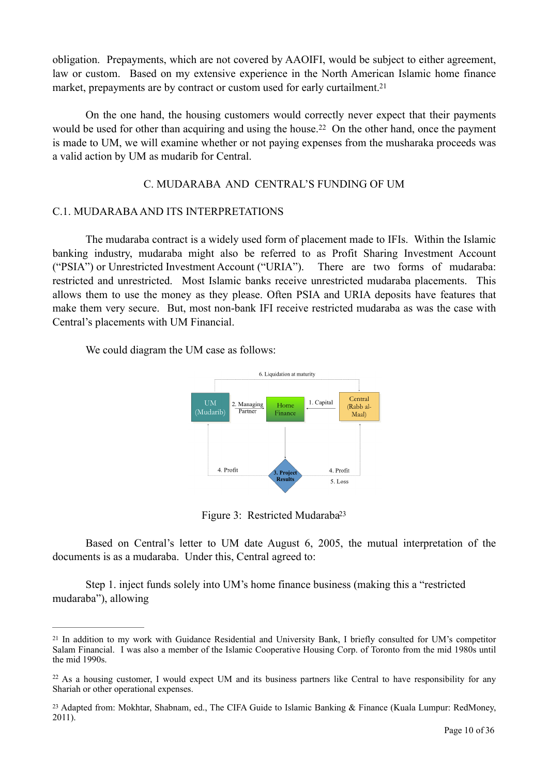obligation. Prepayments, which are not covered by AAOIFI, would be subject to either agreement, law or custom. Based on my extensive experience in the North American Islamic home finance market, prepayments are by contract or custom used for early curtailment[.](#page-9-0)<sup>[21](#page-9-0)</sup>

 On the one hand, the housing customers would correctly never expect that their payments wouldbe used for other than acquiring and using the house.<sup>[22](#page-9-1)</sup> On the other hand, once the payment is made to UM, we will examine whether or not paying expenses from the musharaka proceeds was a valid action by UM as mudarib for Central.

## <span id="page-9-4"></span><span id="page-9-3"></span>C. MUDARABA AND CENTRAL'S FUNDING OF UM

#### C.1. MUDARABA AND ITS INTERPRETATIONS

 The mudaraba contract is a widely used form of placement made to IFIs. Within the Islamic banking industry, mudaraba might also be referred to as Profit Sharing Investment Account ("PSIA") or Unrestricted Investment Account ("URIA"). There are two forms of mudaraba: restricted and unrestricted. Most Islamic banks receive unrestricted mudaraba placements. This allows them to use the money as they please. Often PSIA and URIA deposits have features that make them very secure. But, most non-bank IFI receive restricted mudaraba as was the case with Central's placements with UM Financial.

We could diagram the UM case as follows:



<span id="page-9-5"></span>Figure 3: Restricted Mudaraba<sup>23</sup>

 Based on Central's letter to UM date August 6, 2005, the mutual interpretation of the documents is as a mudaraba. Under this, Central agreed to:

 Step 1. inject funds solely into UM's home finance business (making this a "restricted mudaraba"), allowing

<span id="page-9-0"></span><sup>&</sup>lt;sup>[21](#page-9-3)</sup> In addition to my work with Guidance Residential and University Bank, I briefly consulted for UM's competitor Salam Financial. I was also a member of the Islamic Cooperative Housing Corp. of Toronto from the mid 1980s until the mid 1990s.

<span id="page-9-1"></span> $22$  As a housing customer, I would expect UM and its business partners like Central to have responsibility for any Shariah or other operational expenses.

<span id="page-9-2"></span><sup>&</sup>lt;sup>[23](#page-9-5)</sup> Adapted from: Mokhtar, Shabnam, ed., The CIFA Guide to Islamic Banking & Finance (Kuala Lumpur: RedMoney, 2011).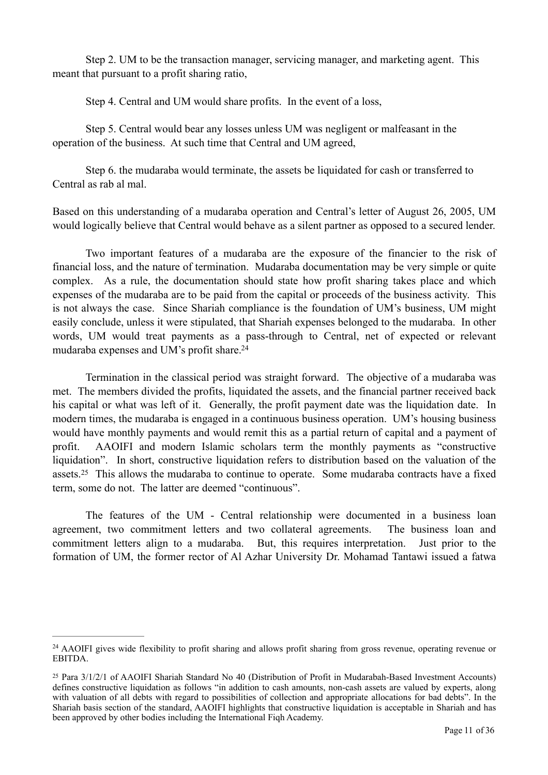Step 2. UM to be the transaction manager, servicing manager, and marketing agent. This meant that pursuant to a profit sharing ratio,

Step 4. Central and UM would share profits. In the event of a loss,

 Step 5. Central would bear any losses unless UM was negligent or malfeasant in the operation of the business. At such time that Central and UM agreed,

 Step 6. the mudaraba would terminate, the assets be liquidated for cash or transferred to Central as rab al mal.

Based on this understanding of a mudaraba operation and Central's letter of August 26, 2005, UM would logically believe that Central would behave as a silent partner as opposed to a secured lender.

 Two important features of a mudaraba are the exposure of the financier to the risk of financial loss, and the nature of termination. Mudaraba documentation may be very simple or quite complex. As a rule, the documentation should state how profit sharing takes place and which expenses of the mudaraba are to be paid from the capital or proceeds of the business activity. This is not always the case. Since Shariah compliance is the foundation of UM's business, UM might easily conclude, unless it were stipulated, that Shariah expenses belonged to the mudaraba. In other words, UM would treat payments as a pass-through to Central, net of expected or relevant mudaraba expenses and UM's profit share[.24](#page-10-0)

<span id="page-10-2"></span> Termination in the classical period was straight forward. The objective of a mudaraba was met. The members divided the profits, liquidated the assets, and the financial partner received back his capital or what was left of it. Generally, the profit payment date was the liquidation date. In modern times, the mudaraba is engaged in a continuous business operation. UM's housing business would have monthly payments and would remit this as a partial return of capital and a payment of profit. AAOIFI and modern Islamic scholars term the monthly payments as "constructive liquidation". In short, constructive liquidation refers to distribution based on the valuation of the assets.<sup>25</sup>This allows the mudaraba to continue to operate. Some mudaraba contracts have a fixed term, some do not. The latter are deemed "continuous".

<span id="page-10-3"></span> The features of the UM - Central relationship were documented in a business loan agreement, two commitment letters and two collateral agreements. The business loan and commitment letters align to a mudaraba. But, this requires interpretation. Just prior to the formation of UM, the former rector of Al Azhar University Dr. Mohamad Tantawi issued a fatwa

<span id="page-10-0"></span><sup>&</sup>lt;sup>[24](#page-10-2)</sup> AAOIFI gives wide flexibility to profit sharing and allows profit sharing from gross revenue, operating revenue or EBITDA.

<span id="page-10-1"></span>Para 3/1/2/1 of AAOIFI Shariah Standard No 40 (Distribution of Profit in Mudarabah-Based Investment Accounts) [25](#page-10-3) defines constructive liquidation as follows "in addition to cash amounts, non-cash assets are valued by experts, along with valuation of all debts with regard to possibilities of collection and appropriate allocations for bad debts". In the Shariah basis section of the standard, AAOIFI highlights that constructive liquidation is acceptable in Shariah and has been approved by other bodies including the International Fiqh Academy.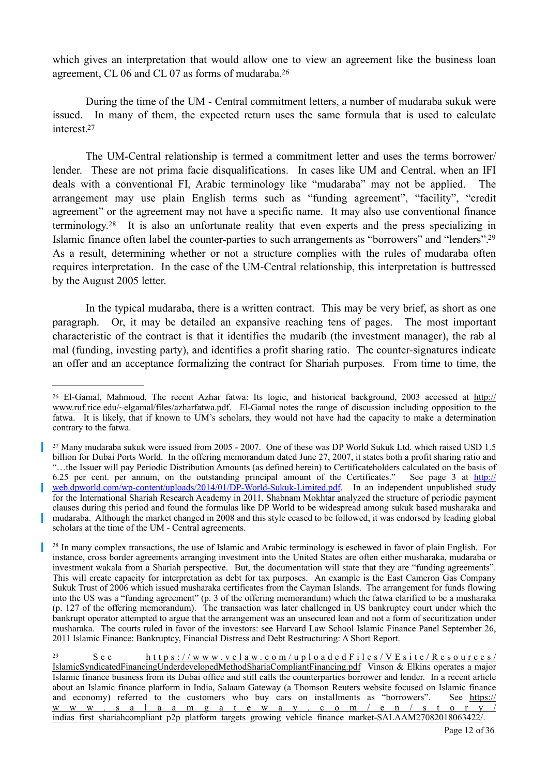<span id="page-11-4"></span>which gives an interpretation that would allow one to view an agreement like the business loan agreement, CL 06 and CL 07 as forms of mudaraba[.26](#page-11-0)

<span id="page-11-5"></span> During the time of the UM - Central commitment letters, a number of mudaraba sukuk were issued. In many of them, the expected return uses the same formula that is used to calculate interest[.](#page-11-1)<sup>[27](#page-11-1)</sup>

<span id="page-11-6"></span> The UM-Central relationship is termed a commitment letter and uses the terms borrower/ lender. These are not prima facie disqualifications. In cases like UM and Central, when an IFI deals with a conventional FI, Arabic terminology like "mudaraba" may not be applied. The arrangement may use plain English terms such as "funding agreement", "facility", "credit agreement" or the agreement may not have a specific name. It may also use conventional finance terminology.<sup>28</sup>It is also an unfortunate reality that even experts and the press specializing in Islamic finance often label the counter-parties to such arrangements as "borrowers" and "lenders"[.29](#page-11-3) As a result, determining whether or not a structure complies with the rules of mudaraba often requires interpretation. In the case of the UM-Central relationship, this interpretation is buttressed by the August 2005 letter.

<span id="page-11-7"></span> In the typical mudaraba, there is a written contract. This may be very brief, as short as one paragraph. Or, it may be detailed an expansive reaching tens of pages. The most important characteristic of the contract is that it identifies the mudarib (the investment manager), the rab al mal (funding, investing party), and identifies a profit sharing ratio. The counter-signatures indicate an offer and an acceptance formalizing the contract for Shariah purposes. From time to time, the

<span id="page-11-0"></span>El-Gamal, Mahmoud, The recent Azhar fatwa: Its logic, and historical background, 2003 accessed at [http://](http://www.ruf.rice.edu/~elgamal/files/azharfatwa.pdf) [26](#page-11-4) [www.ruf.rice.edu/~elgamal/files/azharfatwa.pdf.](http://www.ruf.rice.edu/~elgamal/files/azharfatwa.pdf) El-Gamal notes the range of discussion including opposition to the fatwa. It is likely, that if known to UM's scholars, they would not have had the capacity to make a determination contrary to the fatwa.

<span id="page-11-1"></span><sup>&</sup>lt;sup>[27](#page-11-5)</sup> Many mudaraba sukuk were issued from 2005 - 2007. One of these was DP World Sukuk Ltd. which raised USD 1.5 billion for Dubai Ports World. In the offering memorandum dated June 27, 2007, it states both a profit sharing ratio and "…the Issuer will pay Periodic Distribution Amounts (as defined herein) to Certificateholders calculated on the basis of 6.25 per cent. per annum, on the outstanding principal amount of the Certificates." See page 3 at [http://](http://web.dpworld.com/wp-content/uploads/2014/01/DP-World-Sukuk-Limited.pdf) [web.dpworld.com/wp-content/uploads/2014/01/DP-World-Sukuk-Limited.pdf](http://web.dpworld.com/wp-content/uploads/2014/01/DP-World-Sukuk-Limited.pdf). In an independent unpublished study for the International Shariah Research Academy in 2011, Shabnam Mokhtar analyzed the structure of periodic payment clauses during this period and found the formulas like DP World to be widespread among sukuk based musharaka and mudaraba. Although the market changed in 2008 and this style ceased to be followed, it was endorsed by leading global scholars at the time of the UM - Central agreements.

<span id="page-11-2"></span><sup>&</sup>lt;sup>[28](#page-11-6)</sup> In many complex transactions, the use of Islamic and Arabic terminology is eschewed in favor of plain English. For instance, cross border agreements arranging investment into the United States are often either musharaka, mudaraba or investment wakala from a Shariah perspective. But, the documentation will state that they are "funding agreements". This will create capacity for interpretation as debt for tax purposes. An example is the East Cameron Gas Company Sukuk Trust of 2006 which issued musharaka certificates from the Cayman Islands. The arrangement for funds flowing into the US was a "funding agreement" (p. 3 of the offering memorandum) which the fatwa clarified to be a musharaka (p. 127 of the offering memorandum). The transaction was later challenged in US bankruptcy court under which the bankrupt operator attempted to argue that the arrangement was an unsecured loan and not a form of securitization under musharaka. The courts ruled in favor of the investors: see Harvard Law School Islamic Finance Panel September 26, 2011 Islamic Finance: Bankruptcy, Financial Distress and Debt Restructuring: A Short Report.

<span id="page-11-3"></span>S e e [https://www.velaw.com/uploadedFiles/VEsite/Resources/](https://www.velaw.com/uploadedFiles/VEsite/Resources/IslamicSyndicatedFinancingUnderdevelopedMethodShariaCompliantFinancing.pdf) [29](#page-11-7) [IslamicSyndicatedFinancingUnderdevelopedMethodShariaCompliantFinancing.pdf Vinson & Elkins operates a major](https://www.velaw.com/uploadedFiles/VEsite/Resources/IslamicSyndicatedFinancingUnderdevelopedMethodShariaCompliantFinancing.pdf) Islamic finance business from its Dubai office and still calls the counterparties borrower and lender. In a recent article about an Islamic finance platform in India, Salaam Gateway (a Thomson Reuters website focused on Islamic finance and economy) referred to the customers who buy cars on installments as "borrowers". See [https://](https://www.salaamgateway.com/en/story/indias_first_shariahcompliant_p2p_platform_targets_growing_vehicle_finance_market-SALAAM27082018063422/) [www.salaamgateway.com/en/story/](https://www.salaamgateway.com/en/story/indias_first_shariahcompliant_p2p_platform_targets_growing_vehicle_finance_market-SALAAM27082018063422/) [indias\\_first\\_shariahcompliant\\_p2p\\_platform\\_targets\\_growing\\_vehicle\\_finance\\_market-SALAAM27082018063422/](https://www.salaamgateway.com/en/story/indias_first_shariahcompliant_p2p_platform_targets_growing_vehicle_finance_market-SALAAM27082018063422/).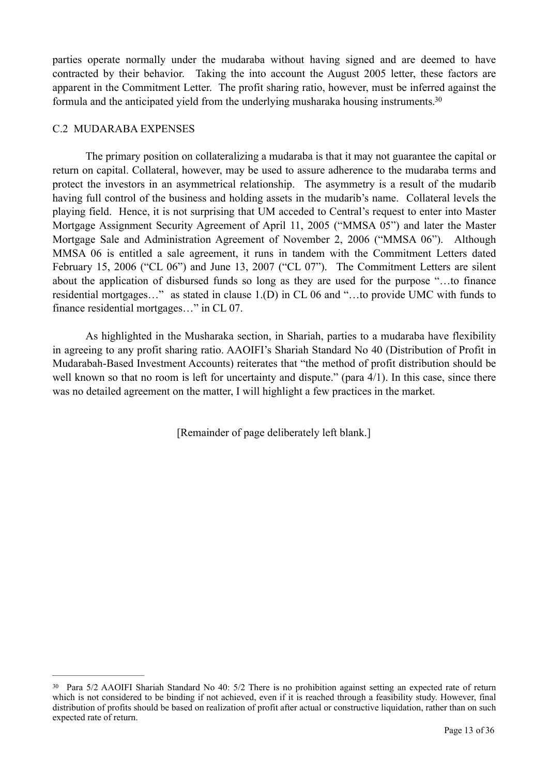parties operate normally under the mudaraba without having signed and are deemed to have contracted by their behavior. Taking the into account the August 2005 letter, these factors are apparent in the Commitment Letter. The profit sharing ratio, however, must be inferred against the formula and the anticipated yield from the underlying musharaka housing instruments[.30](#page-12-0)

#### <span id="page-12-1"></span>C.2 MUDARABA EXPENSES

 The primary position on collateralizing a mudaraba is that it may not guarantee the capital or return on capital. Collateral, however, may be used to assure adherence to the mudaraba terms and protect the investors in an asymmetrical relationship. The asymmetry is a result of the mudarib having full control of the business and holding assets in the mudarib's name. Collateral levels the playing field. Hence, it is not surprising that UM acceded to Central's request to enter into Master Mortgage Assignment Security Agreement of April 11, 2005 ("MMSA 05") and later the Master Mortgage Sale and Administration Agreement of November 2, 2006 ("MMSA 06"). Although MMSA 06 is entitled a sale agreement, it runs in tandem with the Commitment Letters dated February 15, 2006 ("CL 06") and June 13, 2007 ("CL 07"). The Commitment Letters are silent about the application of disbursed funds so long as they are used for the purpose "…to finance residential mortgages…" as stated in clause 1.(D) in CL 06 and "…to provide UMC with funds to finance residential mortgages…" in CL 07.

 As highlighted in the Musharaka section, in Shariah, parties to a mudaraba have flexibility in agreeing to any profit sharing ratio. AAOIFI's Shariah Standard No 40 (Distribution of Profit in Mudarabah-Based Investment Accounts) reiterates that "the method of profit distribution should be well known so that no room is left for uncertainty and dispute." (para 4/1). In this case, since there was no detailed agreement on the matter, I will highlight a few practices in the market.

[Remainder of page deliberately left blank.]

<span id="page-12-0"></span><sup>&</sup>lt;sup>[30](#page-12-1)</sup> Para 5/2 AAOIFI Shariah Standard No 40: 5/2 There is no prohibition against setting an expected rate of return which is not considered to be binding if not achieved, even if it is reached through a feasibility study. However, final distribution of profits should be based on realization of profit after actual or constructive liquidation, rather than on such expected rate of return.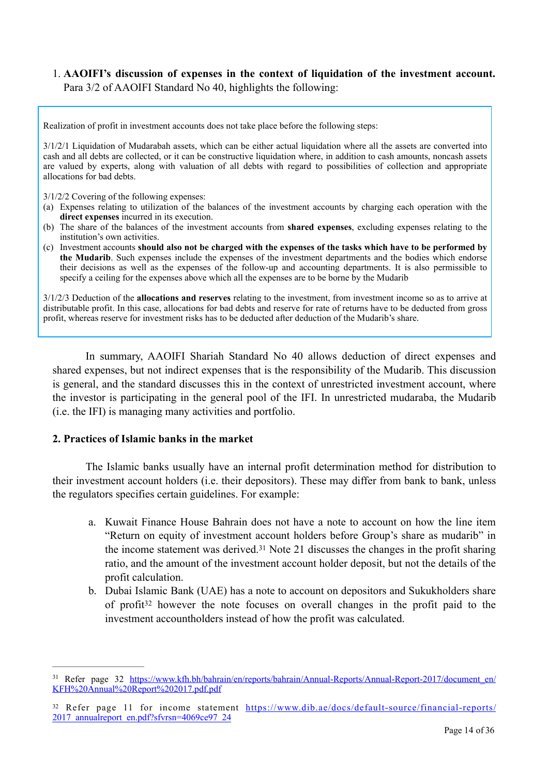## 1. **AAOIFI's discussion of expenses in the context of liquidation of the investment account.** Para 3/2 of AAOIFI Standard No 40, highlights the following:

Realization of profit in investment accounts does not take place before the following steps:

3/1/2/1 Liquidation of Mudarabah assets, which can be either actual liquidation where all the assets are converted into cash and all debts are collected, or it can be constructive liquidation where, in addition to cash amounts, noncash assets are valued by experts, along with valuation of all debts with regard to possibilities of collection and appropriate allocations for bad debts.

3/1/2/2 Covering of the following expenses:

- (a) Expenses relating to utilization of the balances of the investment accounts by charging each operation with the **direct expenses** incurred in its execution.
- (b) The share of the balances of the investment accounts from **shared expenses**, excluding expenses relating to the institution's own activities.
- (c) Investment accounts **should also not be charged with the expenses of the tasks which have to be performed by the Mudarib**. Such expenses include the expenses of the investment departments and the bodies which endorse their decisions as well as the expenses of the follow-up and accounting departments. It is also permissible to specify a ceiling for the expenses above which all the expenses are to be borne by the Mudarib

3/1/2/3 Deduction of the **allocations and reserves** relating to the investment, from investment income so as to arrive at distributable profit. In this case, allocations for bad debts and reserve for rate of returns have to be deducted from gross profit, whereas reserve for investment risks has to be deducted after deduction of the Mudarib's share.

 In summary, AAOIFI Shariah Standard No 40 allows deduction of direct expenses and shared expenses, but not indirect expenses that is the responsibility of the Mudarib. This discussion is general, and the standard discusses this in the context of unrestricted investment account, where the investor is participating in the general pool of the IFI. In unrestricted mudaraba, the Mudarib (i.e. the IFI) is managing many activities and portfolio.

#### **2. Practices of Islamic banks in the market**

 The Islamic banks usually have an internal profit determination method for distribution to their investment account holders (i.e. their depositors). These may differ from bank to bank, unless the regulators specifies certain guidelines. For example:

- <span id="page-13-2"></span>a. Kuwait Finance House Bahrain does not have a note to account on how the line item "Return on equity of investment account holders before Group's share as mudarib" in theincome statement was derived.<sup>[31](#page-13-0)</sup> Note 21 discusses the changes in the profit sharing ratio, and the amount of the investment account holder deposit, but not the details of the profit calculation.
- <span id="page-13-3"></span>b. Dubai Islamic Bank (UAE) has a note to account on depositors and Sukukholders share ofprofit<sup>[32](#page-13-1)</sup> however the note focuses on overall changes in the profit paid to the investment accountholders instead of how the profit was calculated.

<span id="page-13-0"></span><sup>&</sup>lt;sup>31</sup> Refer page 32 [https://www.kfh.bh/bahrain/en/reports/bahrain/Annual-Reports/Annual-Report-2017/document\\_en/](https://www.kfh.bh/bahrain/en/reports/bahrain/Annual-Reports/Annual-Report-2017/document_en/KFH%2520Annual%2520Report%25202017.pdf.pdf) [KFH%20Annual%20Report%202017.pdf.pdf](https://www.kfh.bh/bahrain/en/reports/bahrain/Annual-Reports/Annual-Report-2017/document_en/KFH%2520Annual%2520Report%25202017.pdf.pdf)

<span id="page-13-1"></span><sup>32</sup> Refer page 11 for income statement [https://www.dib.ae/docs/default-source/financial-reports/](https://www.dib.ae/docs/default-source/financial-reports/2017_annualreport_en.pdf?sfvrsn=4069ce97_24) [2017\\_annualreport\\_en.pdf?sfvrsn=4069ce97\\_24](https://www.dib.ae/docs/default-source/financial-reports/2017_annualreport_en.pdf?sfvrsn=4069ce97_24)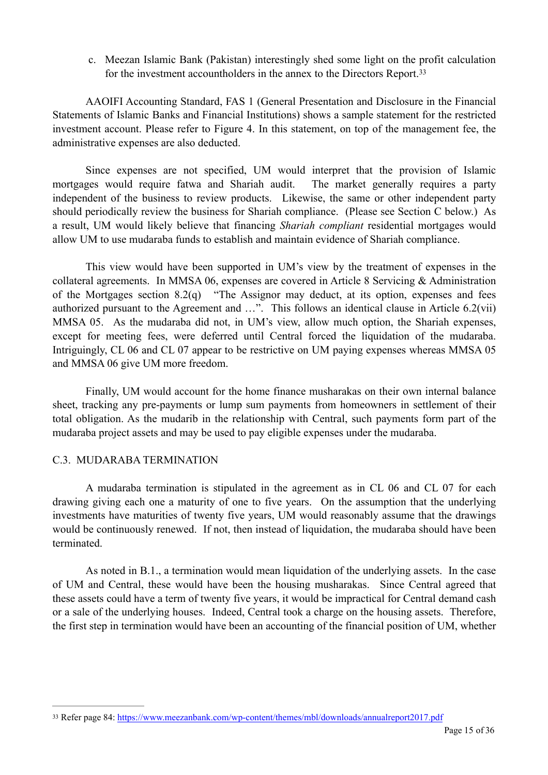<span id="page-14-1"></span>c. Meezan Islamic Bank (Pakistan) interestingly shed some light on the profit calculation for the investment accountholders in the annex to the Directors Report.<sup>33</sup>

 AAOIFI Accounting Standard, FAS 1 (General Presentation and Disclosure in the Financial Statements of Islamic Banks and Financial Institutions) shows a sample statement for the restricted investment account. Please refer to Figure 4. In this statement, on top of the management fee, the administrative expenses are also deducted.

 Since expenses are not specified, UM would interpret that the provision of Islamic mortgages would require fatwa and Shariah audit. The market generally requires a party independent of the business to review products. Likewise, the same or other independent party should periodically review the business for Shariah compliance. (Please see Section C below.) As a result, UM would likely believe that financing *Shariah compliant* residential mortgages would allow UM to use mudaraba funds to establish and maintain evidence of Shariah compliance.

 This view would have been supported in UM's view by the treatment of expenses in the collateral agreements. In MMSA 06, expenses are covered in Article 8 Servicing & Administration of the Mortgages section 8.2(q) "The Assignor may deduct, at its option, expenses and fees authorized pursuant to the Agreement and …". This follows an identical clause in Article 6.2(vii) MMSA 05. As the mudaraba did not, in UM's view, allow much option, the Shariah expenses, except for meeting fees, were deferred until Central forced the liquidation of the mudaraba. Intriguingly, CL 06 and CL 07 appear to be restrictive on UM paying expenses whereas MMSA 05 and MMSA 06 give UM more freedom.

 Finally, UM would account for the home finance musharakas on their own internal balance sheet, tracking any pre-payments or lump sum payments from homeowners in settlement of their total obligation. As the mudarib in the relationship with Central, such payments form part of the mudaraba project assets and may be used to pay eligible expenses under the mudaraba.

# C.3. MUDARABA TERMINATION

 A mudaraba termination is stipulated in the agreement as in CL 06 and CL 07 for each drawing giving each one a maturity of one to five years. On the assumption that the underlying investments have maturities of twenty five years, UM would reasonably assume that the drawings would be continuously renewed. If not, then instead of liquidation, the mudaraba should have been terminated.

 As noted in B.1., a termination would mean liquidation of the underlying assets. In the case of UM and Central, these would have been the housing musharakas. Since Central agreed that these assets could have a term of twenty five years, it would be impractical for Central demand cash or a sale of the underlying houses. Indeed, Central took a charge on the housing assets. Therefore, the first step in termination would have been an accounting of the financial position of UM, whether

<span id="page-14-0"></span><sup>33</sup> Refer page 84:<https://www.meezanbank.com/wp-content/themes/mbl/downloads/annualreport2017.pdf>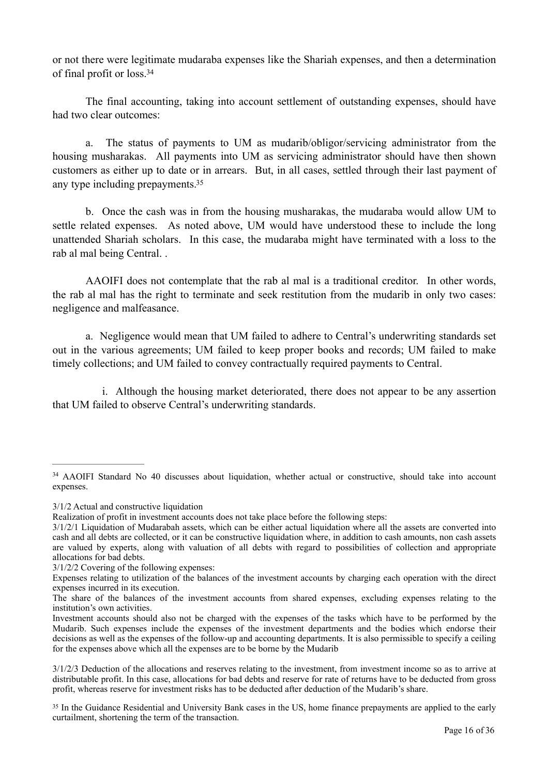<span id="page-15-2"></span>or not there were legitimate mudaraba expenses like the Shariah expenses, and then a determination of final profit or loss[.](#page-15-0) [34](#page-15-0)

 The final accounting, taking into account settlement of outstanding expenses, should have had two clear outcomes:

 a. The status of payments to UM as mudarib/obligor/servicing administrator from the housing musharakas. All payments into UM as servicing administrator should have then shown customers as either up to date or in arrears. But, in all cases, settled through their last payment of any type including prepayments[.35](#page-15-1)

<span id="page-15-3"></span> b. Once the cash was in from the housing musharakas, the mudaraba would allow UM to settle related expenses. As noted above, UM would have understood these to include the long unattended Shariah scholars. In this case, the mudaraba might have terminated with a loss to the rab al mal being Central. .

 AAOIFI does not contemplate that the rab al mal is a traditional creditor. In other words, the rab al mal has the right to terminate and seek restitution from the mudarib in only two cases: negligence and malfeasance.

 a. Negligence would mean that UM failed to adhere to Central's underwriting standards set out in the various agreements; UM failed to keep proper books and records; UM failed to make timely collections; and UM failed to convey contractually required payments to Central.

 i. Although the housing market deteriorated, there does not appear to be any assertion that UM failed to observe Central's underwriting standards.

3/1/2 Actual and constructive liquidation

<span id="page-15-0"></span><sup>&</sup>lt;sup>[34](#page-15-2)</sup> AAOIFI Standard No 40 discusses about liquidation, whether actual or constructive, should take into account expenses.

Realization of profit in investment accounts does not take place before the following steps:

<sup>3/1/2/1</sup> Liquidation of Mudarabah assets, which can be either actual liquidation where all the assets are converted into cash and all debts are collected, or it can be constructive liquidation where, in addition to cash amounts, non cash assets are valued by experts, along with valuation of all debts with regard to possibilities of collection and appropriate allocations for bad debts.

<sup>3/1/2/2</sup> Covering of the following expenses:

Expenses relating to utilization of the balances of the investment accounts by charging each operation with the direct expenses incurred in its execution.

The share of the balances of the investment accounts from shared expenses, excluding expenses relating to the institution's own activities.

Investment accounts should also not be charged with the expenses of the tasks which have to be performed by the Mudarib. Such expenses include the expenses of the investment departments and the bodies which endorse their decisions as well as the expenses of the follow-up and accounting departments. It is also permissible to specify a ceiling for the expenses above which all the expenses are to be borne by the Mudarib

<sup>3/1/2/3</sup> Deduction of the allocations and reserves relating to the investment, from investment income so as to arrive at distributable profit. In this case, allocations for bad debts and reserve for rate of returns have to be deducted from gross profit, whereas reserve for investment risks has to be deducted after deduction of the Mudarib's share.

<span id="page-15-1"></span>In the Guidance Residential and University Bank cases in the US, home finance prepayments are applied to the early [35](#page-15-3) curtailment, shortening the term of the transaction.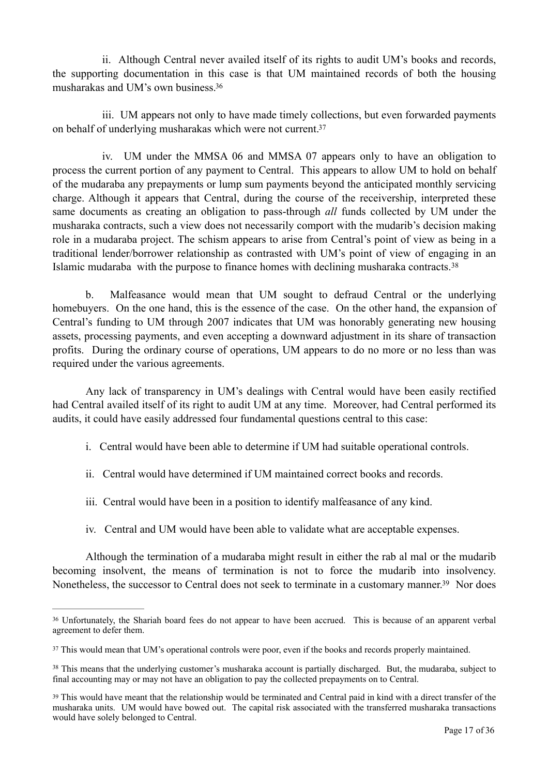<span id="page-16-4"></span> ii. Although Central never availed itself of its rights to audit UM's books and records, the supporting documentation in this case is that UM maintained records of both the housing musharakas and UM's own business[.](#page-16-0) [36](#page-16-0)

<span id="page-16-5"></span> iii. UM appears not only to have made timely collections, but even forwarded payments on behalf of underlying musharakas which were not current[.37](#page-16-1)

 iv. UM under the MMSA 06 and MMSA 07 appears only to have an obligation to process the current portion of any payment to Central. This appears to allow UM to hold on behalf of the mudaraba any prepayments or lump sum payments beyond the anticipated monthly servicing charge. Although it appears that Central, during the course of the receivership, interpreted these same documents as creating an obligation to pass-through *all* funds collected by UM under the musharaka contracts, such a view does not necessarily comport with the mudarib's decision making role in a mudaraba project. The schism appears to arise from Central's point of view as being in a traditional lender/borrower relationship as contrasted with UM's point of view of engaging in an Islamic mudaraba with the purpose to finance homes with declining musharaka contracts.[38](#page-16-2)

<span id="page-16-6"></span> b. Malfeasance would mean that UM sought to defraud Central or the underlying homebuyers. On the one hand, this is the essence of the case. On the other hand, the expansion of Central's funding to UM through 2007 indicates that UM was honorably generating new housing assets, processing payments, and even accepting a downward adjustment in its share of transaction profits. During the ordinary course of operations, UM appears to do no more or no less than was required under the various agreements.

 Any lack of transparency in UM's dealings with Central would have been easily rectified had Central availed itself of its right to audit UM at any time. Moreover, had Central performed its audits, it could have easily addressed four fundamental questions central to this case:

- i. Central would have been able to determine if UM had suitable operational controls.
- ii. Central would have determined if UM maintained correct books and records.
- iii. Central would have been in a position to identify malfeasance of any kind.
- <span id="page-16-7"></span>iv. Central and UM would have been able to validate what are acceptable expenses.

 Although the termination of a mudaraba might result in either the rab al mal or the mudarib becoming insolvent, the means of termination is not to force the mudarib into insolvency. Nonetheless, the successor to Central does not seek to terminate in a customary manner[.](#page-16-3)<sup>[39](#page-16-3)</sup> Nor does

<span id="page-16-0"></span>Unfortunately, the Shariah board fees do not appear to have been accrued. This is because of an apparent verbal [36](#page-16-4) agreement to defer them.

<span id="page-16-1"></span><sup>&</sup>lt;sup>[37](#page-16-5)</sup> This would mean that UM's operational controls were poor, even if the books and records properly maintained.

<span id="page-16-2"></span><sup>&</sup>lt;sup>[38](#page-16-6)</sup> This means that the underlying customer's musharaka account is partially discharged. But, the mudaraba, subject to final accounting may or may not have an obligation to pay the collected prepayments on to Central.

<span id="page-16-3"></span><sup>&</sup>lt;sup>[39](#page-16-7)</sup> This would have meant that the relationship would be terminated and Central paid in kind with a direct transfer of the musharaka units. UM would have bowed out. The capital risk associated with the transferred musharaka transactions would have solely belonged to Central.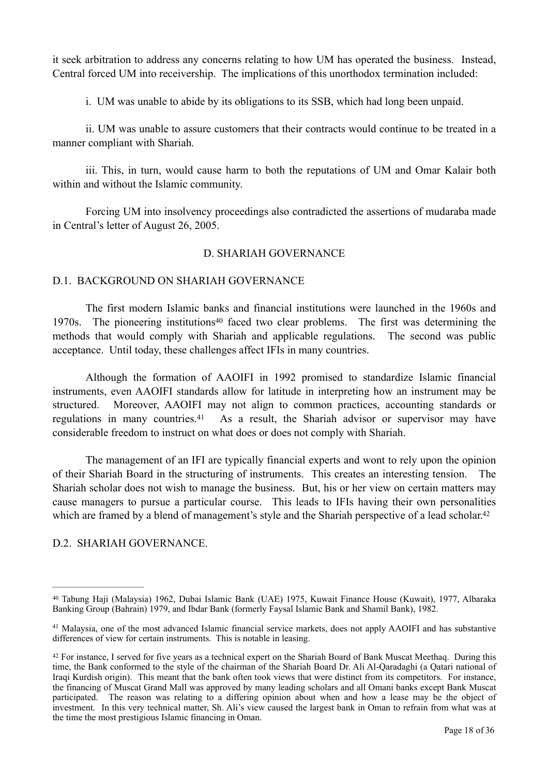it seek arbitration to address any concerns relating to how UM has operated the business. Instead, Central forced UM into receivership. The implications of this unorthodox termination included:

i. UM was unable to abide by its obligations to its SSB, which had long been unpaid.

 ii. UM was unable to assure customers that their contracts would continue to be treated in a manner compliant with Shariah.

 iii. This, in turn, would cause harm to both the reputations of UM and Omar Kalair both within and without the Islamic community.

 Forcing UM into insolvency proceedings also contradicted the assertions of mudaraba made in Central's letter of August 26, 2005.

## <span id="page-17-5"></span><span id="page-17-3"></span>D. SHARIAH GOVERNANCE

## D.1. BACKGROUND ON SHARIAH GOVERNANCE

 The first modern Islamic banks and financial institutions were launched in the 1960s and 1970[s](#page-17-0). The pioneering institutions<sup>[40](#page-17-0)</sup> faced two clear problems. The first was determining the methods that would comply with Shariah and applicable regulations. The second was public acceptance. Until today, these challenges affect IFIs in many countries.

<span id="page-17-4"></span> Although the formation of AAOIFI in 1992 promised to standardize Islamic financial instruments, even AAOIFI standards allow for latitude in interpreting how an instrument may be structured. Moreover, AAOIFI may not align to common practices, accounting standards or regulationsin many countries.<sup>[41](#page-17-1)</sup> As a result, the Shariah advisor or supervisor may have considerable freedom to instruct on what does or does not comply with Shariah.

 The management of an IFI are typically financial experts and wont to rely upon the opinion of their Shariah Board in the structuring of instruments. This creates an interesting tension. The Shariah scholar does not wish to manage the business. But, his or her view on certain matters may cause managers to pursue a particular course. This leads to IFIs having their own personalities which are framed by a blend of management's style and the Shariah perspective of a lead scholar.<sup>42</sup>

#### D.2. SHARIAH GOVERNANCE.

<span id="page-17-0"></span><sup>&</sup>lt;sup>[40](#page-17-3)</sup> Tabung Haji (Malaysia) 1962, Dubai Islamic Bank (UAE) 1975, Kuwait Finance House (Kuwait), 1977, Albaraka Banking Group (Bahrain) 1979, and Ibdar Bank (formerly Faysal Islamic Bank and Shamil Bank), 1982.

<span id="page-17-1"></span><sup>&</sup>lt;sup>[41](#page-17-4)</sup> Malaysia, one of the most advanced Islamic financial service markets, does not apply AAOIFI and has substantive differences of view for certain instruments. This is notable in leasing.

<span id="page-17-2"></span><sup>&</sup>lt;sup>[42](#page-17-5)</sup> For instance, I served for five years as a technical expert on the Shariah Board of Bank Muscat Meethaq. During this time, the Bank conformed to the style of the chairman of the Shariah Board Dr. Ali Al-Qaradaghi (a Qatari national of Iraqi Kurdish origin). This meant that the bank often took views that were distinct from its competitors. For instance, the financing of Muscat Grand Mall was approved by many leading scholars and all Omani banks except Bank Muscat participated. The reason was relating to a differing opinion about when and how a lease may be the object of investment. In this very technical matter, Sh. Ali's view caused the largest bank in Oman to refrain from what was at the time the most prestigious Islamic financing in Oman.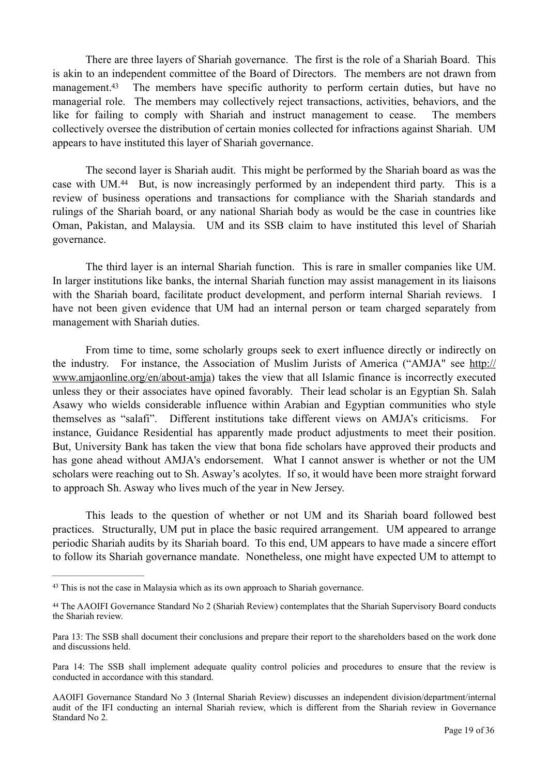<span id="page-18-2"></span> There are three layers of Shariah governance. The first is the role of a Shariah Board. This is akin to an independent committee of the Board of Directors. The members are not drawn from management[.](#page-18-0)<sup>[43](#page-18-0)</sup> The members have specific authority to perform certain duties, but have no managerial role. The members may collectively reject transactions, activities, behaviors, and the like for failing to comply with Shariah and instruct management to cease. The members collectively oversee the distribution of certain monies collected for infractions against Shariah. UM appears to have instituted this layer of Shariah governance.

<span id="page-18-3"></span> The second layer is Shariah audit. This might be performed by the Shariah board as was the casewith  $UM<sup>44</sup>$  $UM<sup>44</sup>$  $UM<sup>44</sup>$  But, is now increasingly performed by an independent third party. This is a review of business operations and transactions for compliance with the Shariah standards and rulings of the Shariah board, or any national Shariah body as would be the case in countries like Oman, Pakistan, and Malaysia. UM and its SSB claim to have instituted this level of Shariah governance.

 The third layer is an internal Shariah function. This is rare in smaller companies like UM. In larger institutions like banks, the internal Shariah function may assist management in its liaisons with the Shariah board, facilitate product development, and perform internal Shariah reviews. I have not been given evidence that UM had an internal person or team charged separately from management with Shariah duties.

 From time to time, some scholarly groups seek to exert influence directly or indirectly on the industry. For instance, the Association of Muslim Jurists of America ("AMJA" see [http://](http://www.amjaonline.org/en/about-amja) [www.amjaonline.org/en/about-amja](http://www.amjaonline.org/en/about-amja)) takes the view that all Islamic finance is incorrectly executed unless they or their associates have opined favorably. Their lead scholar is an Egyptian Sh. Salah Asawy who wields considerable influence within Arabian and Egyptian communities who style themselves as "salafi". Different institutions take different views on AMJA's criticisms. For instance, Guidance Residential has apparently made product adjustments to meet their position. But, University Bank has taken the view that bona fide scholars have approved their products and has gone ahead without AMJA's endorsement. What I cannot answer is whether or not the UM scholars were reaching out to Sh. Asway's acolytes. If so, it would have been more straight forward to approach Sh. Asway who lives much of the year in New Jersey.

 This leads to the question of whether or not UM and its Shariah board followed best practices. Structurally, UM put in place the basic required arrangement. UM appeared to arrange periodic Shariah audits by its Shariah board. To this end, UM appears to have made a sincere effort to follow its Shariah governance mandate. Nonetheless, one might have expected UM to attempt to

<span id="page-18-0"></span><sup>&</sup>lt;sup>[43](#page-18-2)</sup> This is not the case in Malaysia which as its own approach to Shariah governance.

<span id="page-18-1"></span>The AAOIFI Governance Standard No 2 (Shariah Review) contemplates that the Shariah Supervisory Board conducts [44](#page-18-3) the Shariah review.

Para 13: The SSB shall document their conclusions and prepare their report to the shareholders based on the work done and discussions held.

Para 14: The SSB shall implement adequate quality control policies and procedures to ensure that the review is conducted in accordance with this standard.

AAOIFI Governance Standard No 3 (Internal Shariah Review) discusses an independent division/department/internal audit of the IFI conducting an internal Shariah review, which is different from the Shariah review in Governance Standard No 2.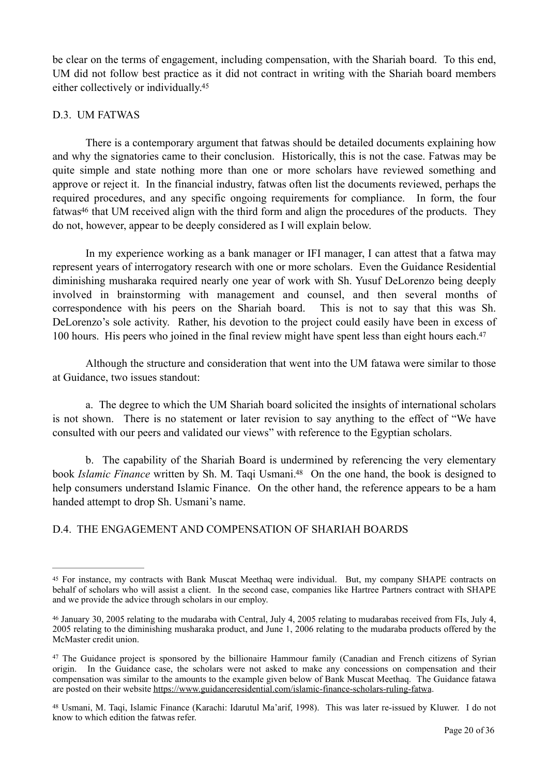<span id="page-19-4"></span>be clear on the terms of engagement, including compensation, with the Shariah board. To this end, UM did not follow best practice as it did not contract in writing with the Shariah board members either collectively or individually[.](#page-19-0) [45](#page-19-0)

# D.3. UM FATWAS

 There is a contemporary argument that fatwas should be detailed documents explaining how and why the signatories came to their conclusion. Historically, this is not the case. Fatwas may be quite simple and state nothing more than one or more scholars have reviewed something and approve or reject it. In the financial industry, fatwas often list the documents reviewed, perhaps the required procedures, and any specific ongoing requirements for compliance. In form, the four fatwa[s](#page-19-1)<sup>[46](#page-19-1)</sup> that UM received align with the third form and align the procedures of the products. They do not, however, appear to be deeply considered as I will explain below.

<span id="page-19-5"></span> In my experience working as a bank manager or IFI manager, I can attest that a fatwa may represent years of interrogatory research with one or more scholars. Even the Guidance Residential diminishing musharaka required nearly one year of work with Sh. Yusuf DeLorenzo being deeply involved in brainstorming with management and counsel, and then several months of correspondence with his peers on the Shariah board. This is not to say that this was Sh. DeLorenzo's sole activity. Rather, his devotion to the project could easily have been in excess of 100 hours[.](#page-19-2) His peers who joined in the final review might have spent less than eight hours each.<sup>[47](#page-19-2)</sup>

<span id="page-19-6"></span> Although the structure and consideration that went into the UM fatawa were similar to those at Guidance, two issues standout:

 a. The degree to which the UM Shariah board solicited the insights of international scholars is not shown. There is no statement or later revision to say anything to the effect of "We have consulted with our peers and validated our views" with reference to the Egyptian scholars.

<span id="page-19-7"></span> b. The capability of the Shariah Board is undermined by referencing the very elementary book *Islamic Finance* written by Sh[.](#page-19-3) M. Taqi Usmani.<sup>[48](#page-19-3)</sup> On the one hand, the book is designed to help consumers understand Islamic Finance. On the other hand, the reference appears to be a ham handed attempt to drop Sh. Usmani's name.

# D.4. THE ENGAGEMENT AND COMPENSATION OF SHARIAH BOARDS

<span id="page-19-0"></span><sup>&</sup>lt;sup>[45](#page-19-4)</sup> For instance, my contracts with Bank Muscat Meethaq were individual. But, my company SHAPE contracts on behalf of scholars who will assist a client. In the second case, companies like Hartree Partners contract with SHAPE and we provide the advice through scholars in our employ.

<span id="page-19-1"></span><sup>&</sup>lt;sup>[46](#page-19-5)</sup> January 30, 2005 relating to the mudaraba with Central, July 4, 2005 relating to mudarabas received from FIs, July 4, 2005 relating to the diminishing musharaka product, and June 1, 2006 relating to the mudaraba products offered by the McMaster credit union.

<span id="page-19-2"></span><sup>&</sup>lt;sup>[47](#page-19-6)</sup> The Guidance project is sponsored by the billionaire Hammour family (Canadian and French citizens of Syrian origin. In the Guidance case, the scholars were not asked to make any concessions on compensation and their compensation was similar to the amounts to the example given below of Bank Muscat Meethaq. The Guidance fatawa are posted on their website<https://www.guidanceresidential.com/islamic-finance-scholars-ruling-fatwa>.

<span id="page-19-3"></span>[<sup>48</sup>](#page-19-7) Usmani, M. Taqi, Islamic Finance (Karachi: Idarutul Ma'arif, 1998). This was later re-issued by Kluwer. I do not know to which edition the fatwas refer.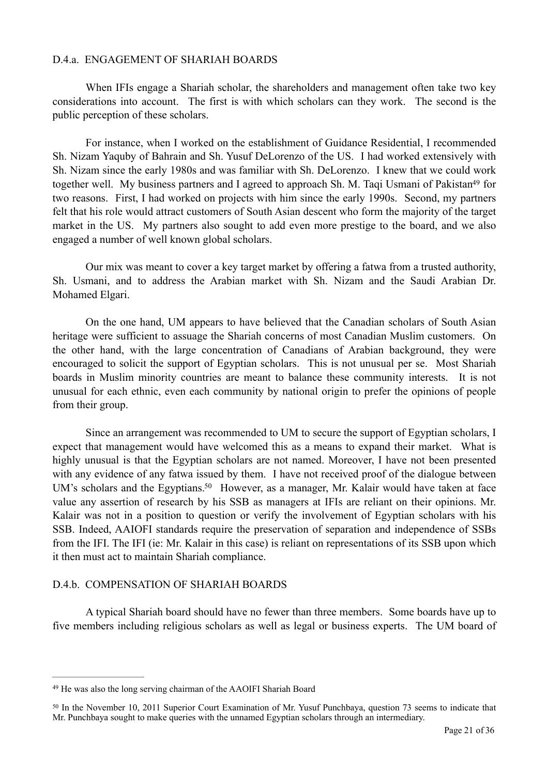## D.4.a. ENGAGEMENT OF SHARIAH BOARDS

 When IFIs engage a Shariah scholar, the shareholders and management often take two key considerations into account. The first is with which scholars can they work. The second is the public perception of these scholars.

<span id="page-20-2"></span> For instance, when I worked on the establishment of Guidance Residential, I recommended Sh. Nizam Yaquby of Bahrain and Sh. Yusuf DeLorenzo of the US. I had worked extensively with Sh. Nizam since the early 1980s and was familiar with Sh. DeLorenzo. I knew that we could work together well. My busi[n](#page-20-0)ess partners and I agreed to approach Sh. M. Taqi Usmani of Pakistan<sup>[49](#page-20-0)</sup> for two reasons. First, I had worked on projects with him since the early 1990s. Second, my partners felt that his role would attract customers of South Asian descent who form the majority of the target market in the US. My partners also sought to add even more prestige to the board, and we also engaged a number of well known global scholars.

 Our mix was meant to cover a key target market by offering a fatwa from a trusted authority, Sh. Usmani, and to address the Arabian market with Sh. Nizam and the Saudi Arabian Dr. Mohamed Elgari.

 On the one hand, UM appears to have believed that the Canadian scholars of South Asian heritage were sufficient to assuage the Shariah concerns of most Canadian Muslim customers. On the other hand, with the large concentration of Canadians of Arabian background, they were encouraged to solicit the support of Egyptian scholars. This is not unusual per se. Most Shariah boards in Muslim minority countries are meant to balance these community interests. It is not unusual for each ethnic, even each community by national origin to prefer the opinions of people from their group.

<span id="page-20-3"></span> Since an arrangement was recommended to UM to secure the support of Egyptian scholars, I expect that management would have welcomed this as a means to expand their market. What is highly unusual is that the Egyptian scholars are not named. Moreover, I have not been presented with any evidence of any fatwa issued by them. I have not received proof of the dialogue between UM's scholars and the Egyptians[.](#page-20-1)<sup>[50](#page-20-1)</sup> However, as a manager, Mr. Kalair would have taken at face value any assertion of research by his SSB as managers at IFIs are reliant on their opinions. Mr. Kalair was not in a position to question or verify the involvement of Egyptian scholars with his SSB. Indeed, AAIOFI standards require the preservation of separation and independence of SSBs from the IFI. The IFI (ie: Mr. Kalair in this case) is reliant on representations of its SSB upon which it then must act to maintain Shariah compliance.

#### D.4.b. COMPENSATION OF SHARIAH BOARDS

 A typical Shariah board should have no fewer than three members. Some boards have up to five members including religious scholars as well as legal or business experts. The UM board of

<span id="page-20-0"></span><sup>&</sup>lt;sup>[49](#page-20-2)</sup> He was also the long serving chairman of the AAOIFI Shariah Board

<span id="page-20-1"></span><sup>&</sup>lt;sup>[50](#page-20-3)</sup> In the November 10, 2011 Superior Court Examination of Mr. Yusuf Punchbaya, question 73 seems to indicate that Mr. Punchbaya sought to make queries with the unnamed Egyptian scholars through an intermediary.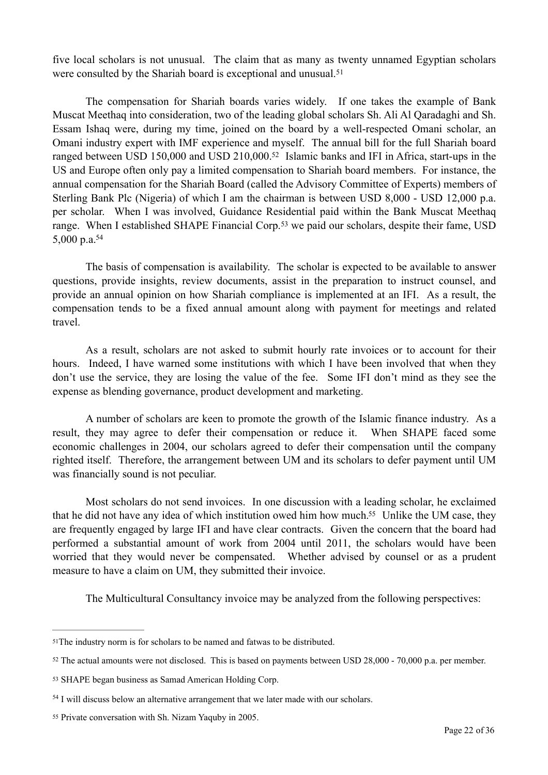<span id="page-21-5"></span>five local scholars is not unusual. The claim that as many as twenty unnamed Egyptian scholars were consulted by the Shariah board is exceptional and unusual.<sup>[51](#page-21-0)</sup>

<span id="page-21-6"></span> The compensation for Shariah boards varies widely. If one takes the example of Bank Muscat Meethaq into consideration, two of the leading global scholars Sh. Ali Al Qaradaghi and Sh. Essam Ishaq were, during my time, joined on the board by a well-respected Omani scholar, an Omani industry expert with IMF experience and myself. The annual bill for the full Shariah board ranged between USD 150,000 and USD 210,000[.](#page-21-1)<sup>[52](#page-21-1)</sup> Islamic banks and IFI in Africa, start-ups in the US and Europe often only pay a limited compensation to Shariah board members. For instance, the annual compensation for the Shariah Board (called the Advisory Committee of Experts) members of Sterling Bank Plc (Nigeria) of which I am the chairman is between USD 8,000 - USD 12,000 p.a. per scholar. When I was involved, Guidance Residential paid within the Bank Muscat Meethaq range.When I established SHAPE Financial Corp.<sup>[53](#page-21-2)</sup> we paid our scholars, despite their fame, USD 5,000 p.a[.](#page-21-3) [54](#page-21-3)

<span id="page-21-8"></span><span id="page-21-7"></span> The basis of compensation is availability. The scholar is expected to be available to answer questions, provide insights, review documents, assist in the preparation to instruct counsel, and provide an annual opinion on how Shariah compliance is implemented at an IFI. As a result, the compensation tends to be a fixed annual amount along with payment for meetings and related travel.

 As a result, scholars are not asked to submit hourly rate invoices or to account for their hours. Indeed, I have warned some institutions with which I have been involved that when they don't use the service, they are losing the value of the fee. Some IFI don't mind as they see the expense as blending governance, product development and marketing.

 A number of scholars are keen to promote the growth of the Islamic finance industry. As a result, they may agree to defer their compensation or reduce it. When SHAPE faced some economic challenges in 2004, our scholars agreed to defer their compensation until the company righted itself. Therefore, the arrangement between UM and its scholars to defer payment until UM was financially sound is not peculiar.

 Most scholars do not send invoices. In one discussion with a leading scholar, he exclaimed that he did not have any idea of which institution owed him how much[.](#page-21-4)<sup>[55](#page-21-4)</sup> Unlike the UM case, they are frequently engaged by large IFI and have clear contracts. Given the concern that the board had performed a substantial amount of work from 2004 until 2011, the scholars would have been worried that they would never be compensated. Whether advised by counsel or as a prudent measure to have a claim on UM, they submitted their invoice.

<span id="page-21-9"></span>The Multicultural Consultancy invoice may be analyzed from the following perspectives:

<span id="page-21-0"></span><sup>&</sup>lt;sup>[51](#page-21-5)</sup>The industry norm is for scholars to be named and fatwas to be distributed.

<span id="page-21-1"></span> $52$  The actual amounts were not disclosed. This is based on payments between USD 28,000 - 70,000 p.a. per member.

<span id="page-21-2"></span>[<sup>53</sup>](#page-21-7) SHAPE began business as Samad American Holding Corp.

<span id="page-21-3"></span><sup>&</sup>lt;sup>[54](#page-21-8)</sup> I will discuss below an alternative arrangement that we later made with our scholars.

<span id="page-21-4"></span>[<sup>55</sup>](#page-21-9) Private conversation with Sh. Nizam Yaquby in 2005.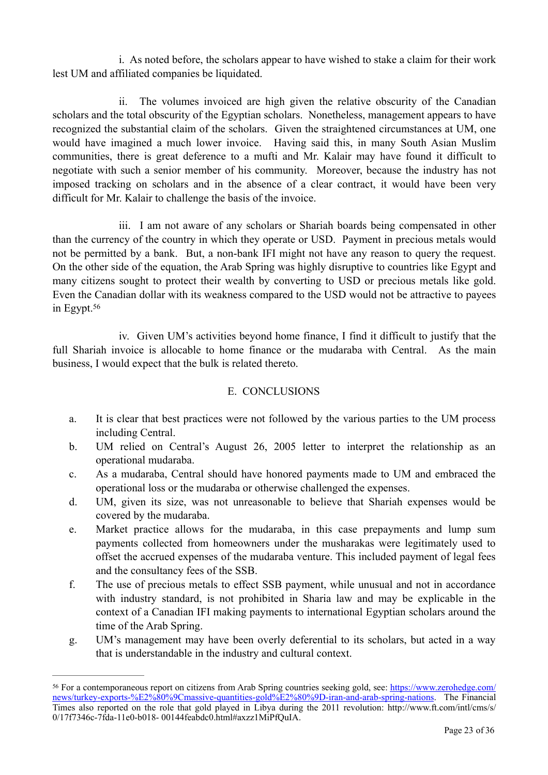i. As noted before, the scholars appear to have wished to stake a claim for their work lest UM and affiliated companies be liquidated.

 ii. The volumes invoiced are high given the relative obscurity of the Canadian scholars and the total obscurity of the Egyptian scholars. Nonetheless, management appears to have recognized the substantial claim of the scholars. Given the straightened circumstances at UM, one would have imagined a much lower invoice. Having said this, in many South Asian Muslim communities, there is great deference to a mufti and Mr. Kalair may have found it difficult to negotiate with such a senior member of his community. Moreover, because the industry has not imposed tracking on scholars and in the absence of a clear contract, it would have been very difficult for Mr. Kalair to challenge the basis of the invoice.

 iii. I am not aware of any scholars or Shariah boards being compensated in other than the currency of the country in which they operate or USD. Payment in precious metals would not be permitted by a bank. But, a non-bank IFI might not have any reason to query the request. On the other side of the equation, the Arab Spring was highly disruptive to countries like Egypt and many citizens sought to protect their wealth by converting to USD or precious metals like gold. Even the Canadian dollar with its weakness compared to the USD would not be attractive to payees in Egypt.[56](#page-22-0)

<span id="page-22-1"></span> iv. Given UM's activities beyond home finance, I find it difficult to justify that the full Shariah invoice is allocable to home finance or the mudaraba with Central. As the main business, I would expect that the bulk is related thereto.

# E. CONCLUSIONS

- a. It is clear that best practices were not followed by the various parties to the UM process including Central.
- b. UM relied on Central's August 26, 2005 letter to interpret the relationship as an operational mudaraba.
- c. As a mudaraba, Central should have honored payments made to UM and embraced the operational loss or the mudaraba or otherwise challenged the expenses.
- d. UM, given its size, was not unreasonable to believe that Shariah expenses would be covered by the mudaraba.
- e. Market practice allows for the mudaraba, in this case prepayments and lump sum payments collected from homeowners under the musharakas were legitimately used to offset the accrued expenses of the mudaraba venture. This included payment of legal fees and the consultancy fees of the SSB.
- f. The use of precious metals to effect SSB payment, while unusual and not in accordance with industry standard, is not prohibited in Sharia law and may be explicable in the context of a Canadian IFI making payments to international Egyptian scholars around the time of the Arab Spring.
- g. UM's management may have been overly deferential to its scholars, but acted in a way that is understandable in the industry and cultural context.

<span id="page-22-0"></span>For a contemporaneous report on citizens from Arab Spring countries seeking gold, see: [https://www.zerohedge.com/](https://www.zerohedge.com/news/turkey-exports-%2525E2%252580%25259Cmassive-quantities-gold%2525E2%252580%25259D-iran-and-arab-spring-nations) [56](#page-22-1) [news/turkey-exports-%E2%80%9Cmassive-quantities-gold%E2%80%9D-iran-and-arab-spring-nations. The Financial](https://www.zerohedge.com/news/turkey-exports-%2525E2%252580%25259Cmassive-quantities-gold%2525E2%252580%25259D-iran-and-arab-spring-nations) Times also reported on the role that gold played in Libya during the 2011 revolution: http://www.ft.com/intl/cms/s/ 0/17f7346c-7fda-11e0-b018- 00144feabdc0.html#axzz1MiPfQuIA.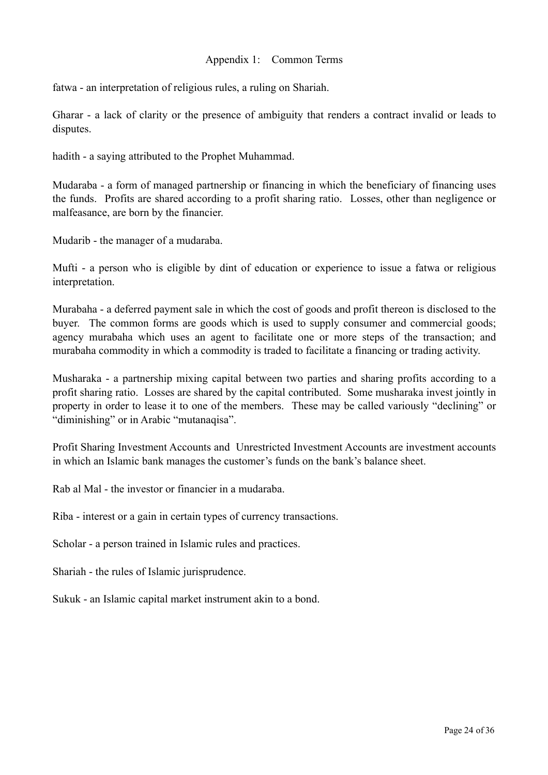# Appendix 1: Common Terms

fatwa - an interpretation of religious rules, a ruling on Shariah.

Gharar - a lack of clarity or the presence of ambiguity that renders a contract invalid or leads to disputes.

hadith - a saying attributed to the Prophet Muhammad.

Mudaraba - a form of managed partnership or financing in which the beneficiary of financing uses the funds. Profits are shared according to a profit sharing ratio. Losses, other than negligence or malfeasance, are born by the financier.

Mudarib - the manager of a mudaraba.

Mufti - a person who is eligible by dint of education or experience to issue a fatwa or religious interpretation.

Murabaha - a deferred payment sale in which the cost of goods and profit thereon is disclosed to the buyer. The common forms are goods which is used to supply consumer and commercial goods; agency murabaha which uses an agent to facilitate one or more steps of the transaction; and murabaha commodity in which a commodity is traded to facilitate a financing or trading activity.

Musharaka - a partnership mixing capital between two parties and sharing profits according to a profit sharing ratio. Losses are shared by the capital contributed. Some musharaka invest jointly in property in order to lease it to one of the members. These may be called variously "declining" or "diminishing" or in Arabic "mutanaqisa".

Profit Sharing Investment Accounts and Unrestricted Investment Accounts are investment accounts in which an Islamic bank manages the customer's funds on the bank's balance sheet.

Rab al Mal - the investor or financier in a mudaraba.

Riba - interest or a gain in certain types of currency transactions.

Scholar - a person trained in Islamic rules and practices.

Shariah - the rules of Islamic jurisprudence.

Sukuk - an Islamic capital market instrument akin to a bond.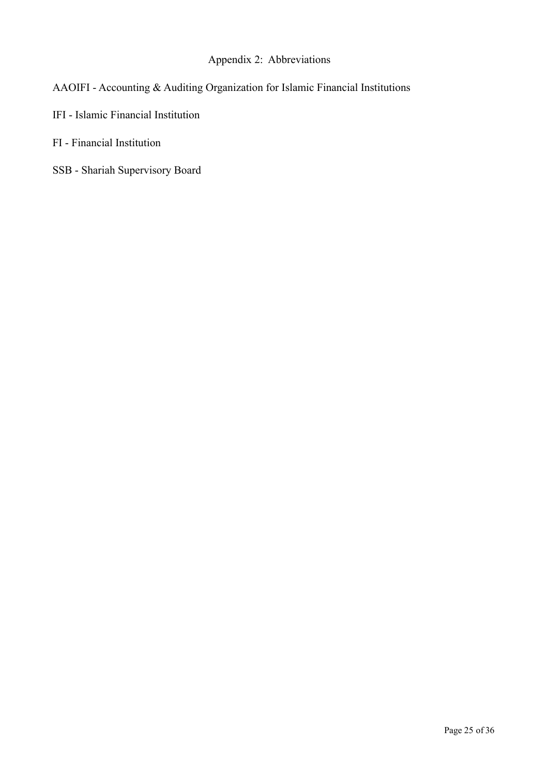# Appendix 2: Abbreviations

- AAOIFI Accounting & Auditing Organization for Islamic Financial Institutions
- IFI Islamic Financial Institution
- FI Financial Institution
- SSB Shariah Supervisory Board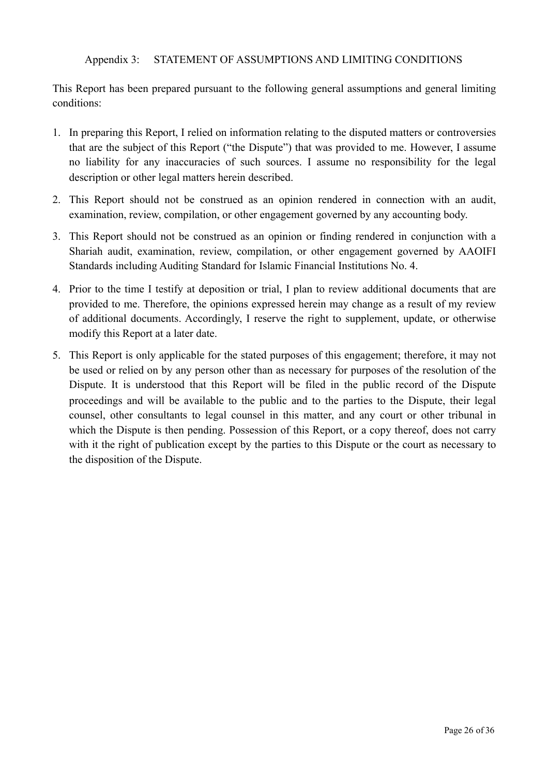# Appendix 3: STATEMENT OF ASSUMPTIONS AND LIMITING CONDITIONS

This Report has been prepared pursuant to the following general assumptions and general limiting conditions:

- 1. In preparing this Report, I relied on information relating to the disputed matters or controversies that are the subject of this Report ("the Dispute") that was provided to me. However, I assume no liability for any inaccuracies of such sources. I assume no responsibility for the legal description or other legal matters herein described.
- 2. This Report should not be construed as an opinion rendered in connection with an audit, examination, review, compilation, or other engagement governed by any accounting body.
- 3. This Report should not be construed as an opinion or finding rendered in conjunction with a Shariah audit, examination, review, compilation, or other engagement governed by AAOIFI Standards including Auditing Standard for Islamic Financial Institutions No. 4.
- 4. Prior to the time I testify at deposition or trial, I plan to review additional documents that are provided to me. Therefore, the opinions expressed herein may change as a result of my review of additional documents. Accordingly, I reserve the right to supplement, update, or otherwise modify this Report at a later date.
- 5. This Report is only applicable for the stated purposes of this engagement; therefore, it may not be used or relied on by any person other than as necessary for purposes of the resolution of the Dispute. It is understood that this Report will be filed in the public record of the Dispute proceedings and will be available to the public and to the parties to the Dispute, their legal counsel, other consultants to legal counsel in this matter, and any court or other tribunal in which the Dispute is then pending. Possession of this Report, or a copy thereof, does not carry with it the right of publication except by the parties to this Dispute or the court as necessary to the disposition of the Dispute.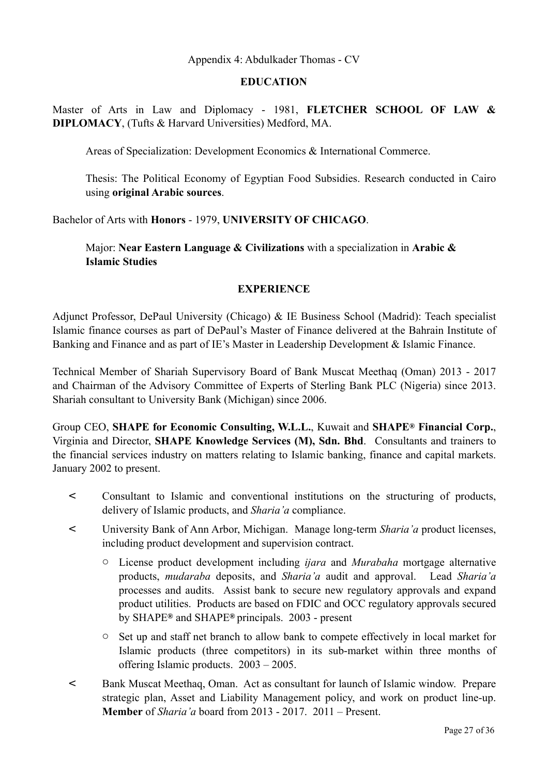# Appendix 4: Abdulkader Thomas - CV

#### **EDUCATION**

Master of Arts in Law and Diplomacy - 1981, **FLETCHER SCHOOL OF LAW & DIPLOMACY**, (Tufts & Harvard Universities) Medford, MA.

Areas of Specialization: Development Economics & International Commerce.

Thesis: The Political Economy of Egyptian Food Subsidies. Research conducted in Cairo using **original Arabic sources**.

Bachelor of Arts with **Honors** - 1979, **UNIVERSITY OF CHICAGO**.

 Major: **Near Eastern Language & Civilizations** with a specialization in **Arabic & Islamic Studies**

#### **EXPERIENCE**

Adjunct Professor, DePaul University (Chicago) & IE Business School (Madrid): Teach specialist Islamic finance courses as part of DePaul's Master of Finance delivered at the Bahrain Institute of Banking and Finance and as part of IE's Master in Leadership Development & Islamic Finance.

Technical Member of Shariah Supervisory Board of Bank Muscat Meethaq (Oman) 2013 - 2017 and Chairman of the Advisory Committee of Experts of Sterling Bank PLC (Nigeria) since 2013. Shariah consultant to University Bank (Michigan) since 2006.

Group CEO, **SHAPE for Economic Consulting, W.L.L.**, Kuwait and **SHAPE® Financial Corp.**, Virginia and Director, **SHAPE Knowledge Services (M), Sdn. Bhd**. Consultants and trainers to the financial services industry on matters relating to Islamic banking, finance and capital markets. January 2002 to present.

- < Consultant to Islamic and conventional institutions on the structuring of products, delivery of Islamic products, and *Sharia'a* compliance.
- < University Bank of Ann Arbor, Michigan. Manage long-term *Sharia'a* product licenses, including product development and supervision contract.
	- o License product development including *ijara* and *Murabaha* mortgage alternative products, *mudaraba* deposits, and *Sharia'a* audit and approval. Lead *Sharia'a* processes and audits. Assist bank to secure new regulatory approvals and expand product utilities. Products are based on FDIC and OCC regulatory approvals secured by SHAPE**®** and SHAPE**®** principals. 2003 - present
	- o Set up and staff net branch to allow bank to compete effectively in local market for Islamic products (three competitors) in its sub-market within three months of offering Islamic products. 2003 – 2005.
- < Bank Muscat Meethaq, Oman. Act as consultant for launch of Islamic window. Prepare strategic plan, Asset and Liability Management policy, and work on product line-up. **Member** of *Sharia'a* board from 2013 - 2017. 2011 – Present.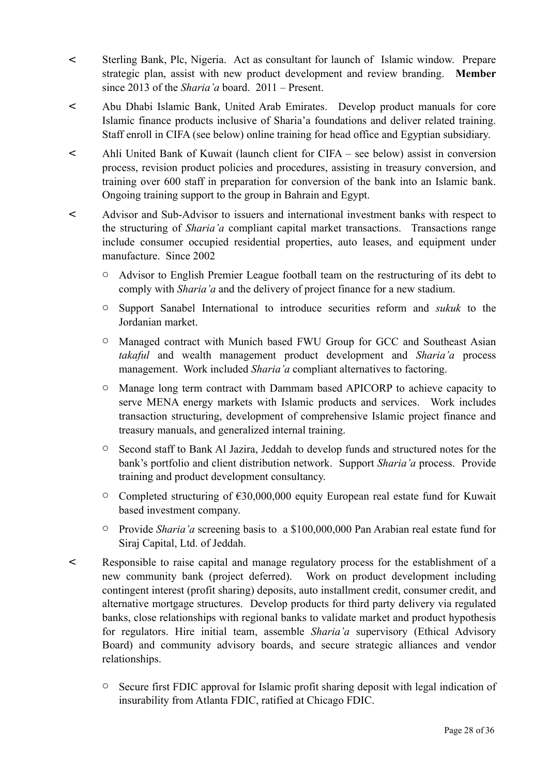- < Sterling Bank, Plc, Nigeria. Act as consultant for launch of Islamic window. Prepare strategic plan, assist with new product development and review branding. **Member** since 2013 of the *Sharia'a* board. 2011 – Present.
- < Abu Dhabi Islamic Bank, United Arab Emirates. Develop product manuals for core Islamic finance products inclusive of Sharia'a foundations and deliver related training. Staff enroll in CIFA (see below) online training for head office and Egyptian subsidiary.
- < Ahli United Bank of Kuwait (launch client for CIFA see below) assist in conversion process, revision product policies and procedures, assisting in treasury conversion, and training over 600 staff in preparation for conversion of the bank into an Islamic bank. Ongoing training support to the group in Bahrain and Egypt.
- < Advisor and Sub-Advisor to issuers and international investment banks with respect to the structuring of *Sharia'a* compliant capital market transactions. Transactions range include consumer occupied residential properties, auto leases, and equipment under manufacture. Since 2002
	- o Advisor to English Premier League football team on the restructuring of its debt to comply with *Sharia'a* and the delivery of project finance for a new stadium.
	- o Support Sanabel International to introduce securities reform and *sukuk* to the Jordanian market.
	- o Managed contract with Munich based FWU Group for GCC and Southeast Asian *takaful* and wealth management product development and *Sharia'a* process management. Work included *Sharia'a* compliant alternatives to factoring.
	- o Manage long term contract with Dammam based APICORP to achieve capacity to serve MENA energy markets with Islamic products and services. Work includes transaction structuring, development of comprehensive Islamic project finance and treasury manuals, and generalized internal training.
	- o Second staff to Bank Al Jazira, Jeddah to develop funds and structured notes for the bank's portfolio and client distribution network. Support *Sharia'a* process. Provide training and product development consultancy.
	- o Completed structuring of €30,000,000 equity European real estate fund for Kuwait based investment company.
	- o Provide *Sharia'a* screening basis to a \$100,000,000 Pan Arabian real estate fund for Siraj Capital, Ltd. of Jeddah.
- < Responsible to raise capital and manage regulatory process for the establishment of a new community bank (project deferred). Work on product development including contingent interest (profit sharing) deposits, auto installment credit, consumer credit, and alternative mortgage structures. Develop products for third party delivery via regulated banks, close relationships with regional banks to validate market and product hypothesis for regulators. Hire initial team, assemble *Sharia'a* supervisory (Ethical Advisory Board) and community advisory boards, and secure strategic alliances and vendor relationships.
	- o Secure first FDIC approval for Islamic profit sharing deposit with legal indication of insurability from Atlanta FDIC, ratified at Chicago FDIC.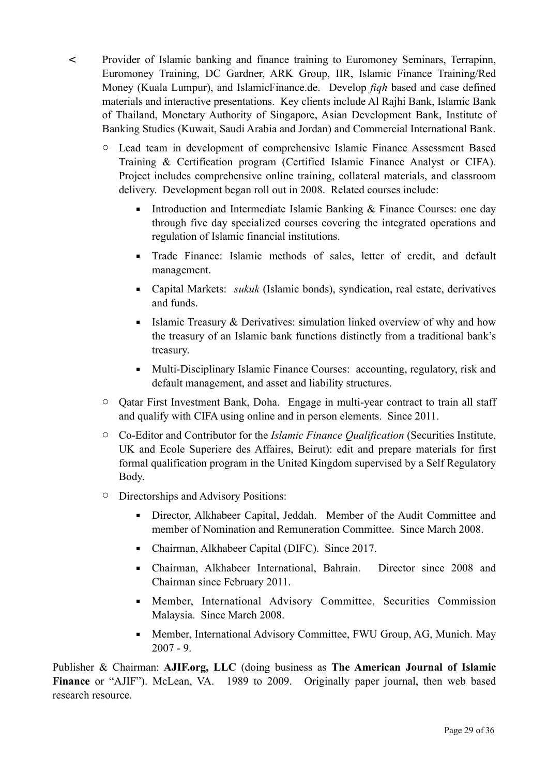- < Provider of Islamic banking and finance training to Euromoney Seminars, Terrapinn, Euromoney Training, DC Gardner, ARK Group, IIR, Islamic Finance Training/Red Money (Kuala Lumpur), and IslamicFinance.de. Develop *fiqh* based and case defined materials and interactive presentations. Key clients include Al Rajhi Bank, Islamic Bank of Thailand, Monetary Authority of Singapore, Asian Development Bank, Institute of Banking Studies (Kuwait, Saudi Arabia and Jordan) and Commercial International Bank.
	- o Lead team in development of comprehensive Islamic Finance Assessment Based Training & Certification program (Certified Islamic Finance Analyst or CIFA). Project includes comprehensive online training, collateral materials, and classroom delivery. Development began roll out in 2008. Related courses include:
		- **•** Introduction and Intermediate Islamic Banking & Finance Courses: one day through five day specialized courses covering the integrated operations and regulation of Islamic financial institutions.
		- Trade Finance: Islamic methods of sales, letter of credit, and default management.
		- Capital Markets: *sukuk* (Islamic bonds), syndication, real estate, derivatives and funds.
		- **Example 1** Islamic Treasury & Derivatives: simulation linked overview of why and how the treasury of an Islamic bank functions distinctly from a traditional bank's treasury.
		- Multi-Disciplinary Islamic Finance Courses: accounting, regulatory, risk and default management, and asset and liability structures.
	- o Qatar First Investment Bank, Doha. Engage in multi-year contract to train all staff and qualify with CIFA using online and in person elements. Since 2011.
	- o Co-Editor and Contributor for the *Islamic Finance Qualification* (Securities Institute, UK and Ecole Superiere des Affaires, Beirut): edit and prepare materials for first formal qualification program in the United Kingdom supervised by a Self Regulatory Body.
	- o Directorships and Advisory Positions:
		- **•** Director, Alkhabeer Capital, Jeddah. Member of the Audit Committee and member of Nomination and Remuneration Committee. Since March 2008.
		- Chairman, Alkhabeer Capital (DIFC). Since 2017.
		- Chairman, Alkhabeer International, Bahrain. Director since 2008 and Chairman since February 2011.
		- **EXECUTE:** Member, International Advisory Committee, Securities Commission Malaysia. Since March 2008.
		- **Member, International Advisory Committee, FWU Group, AG, Munich. May** 2007 - 9.

Publisher & Chairman: **AJIF.org, LLC** (doing business as **The American Journal of Islamic Finance** or "AJIF"). McLean, VA. 1989 to 2009. Originally paper journal, then web based research resource.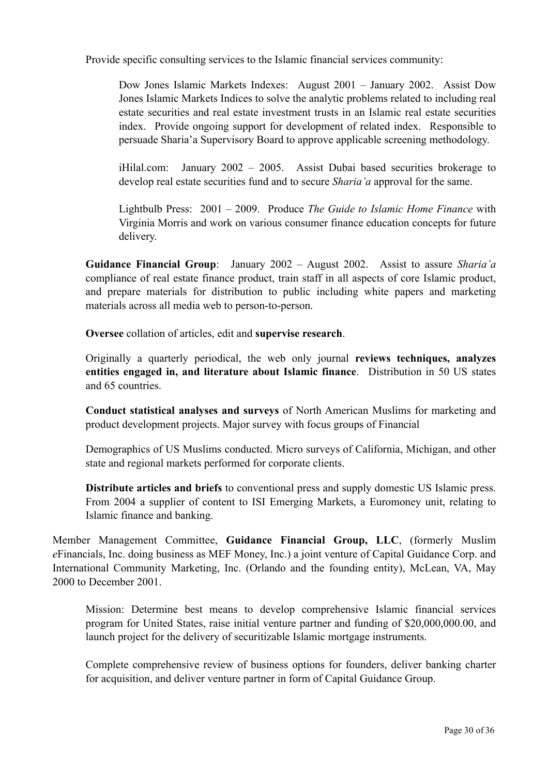Provide specific consulting services to the Islamic financial services community:

Dow Jones Islamic Markets Indexes: August 2001 – January 2002. Assist Dow Jones Islamic Markets Indices to solve the analytic problems related to including real estate securities and real estate investment trusts in an Islamic real estate securities index. Provide ongoing support for development of related index. Responsible to persuade Sharia'a Supervisory Board to approve applicable screening methodology.

iHilal.com: January 2002 – 2005. Assist Dubai based securities brokerage to develop real estate securities fund and to secure *Sharia'a* approval for the same.

Lightbulb Press: 2001 – 2009. Produce *The Guide to Islamic Home Finance* with Virginia Morris and work on various consumer finance education concepts for future delivery.

**Guidance Financial Group**: January 2002 – August 2002. Assist to assure *Sharia'a* compliance of real estate finance product, train staff in all aspects of core Islamic product, and prepare materials for distribution to public including white papers and marketing materials across all media web to person-to-person.

**Oversee** collation of articles, edit and **supervise research**.

Originally a quarterly periodical, the web only journal **reviews techniques, analyzes entities engaged in, and literature about Islamic finance**. Distribution in 50 US states and 65 countries.

**Conduct statistical analyses and surveys** of North American Muslims for marketing and product development projects. Major survey with focus groups of Financial

Demographics of US Muslims conducted. Micro surveys of California, Michigan, and other state and regional markets performed for corporate clients.

**Distribute articles and briefs** to conventional press and supply domestic US Islamic press. From 2004 a supplier of content to ISI Emerging Markets, a Euromoney unit, relating to Islamic finance and banking.

Member Management Committee, **Guidance Financial Group, LLC**, (formerly Muslim *e*Financials, Inc. doing business as MEF Money, Inc.) a joint venture of Capital Guidance Corp. and International Community Marketing, Inc. (Orlando and the founding entity), McLean, VA, May 2000 to December 2001

Mission: Determine best means to develop comprehensive Islamic financial services program for United States, raise initial venture partner and funding of \$20,000,000.00, and launch project for the delivery of securitizable Islamic mortgage instruments.

Complete comprehensive review of business options for founders, deliver banking charter for acquisition, and deliver venture partner in form of Capital Guidance Group.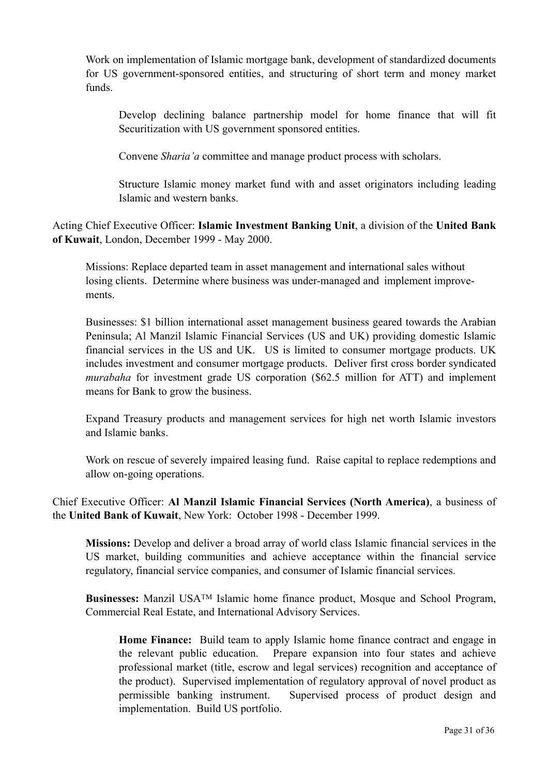Work on implementation of Islamic mortgage bank, development of standardized documents for US government-sponsored entities, and structuring of short term and money market funds.

Develop declining balance partnership model for home finance that will fit Securitization with US government sponsored entities.

Convene *Sharia'a* committee and manage product process with scholars.

Structure Islamic money market fund with and asset originators including leading Islamic and western banks.

Acting Chief Executive Officer: **Islamic Investment Banking Unit**, a division of the **United Bank of Kuwait**, London, December 1999 - May 2000.

 Missions: Replace departed team in asset management and international sales without losing clients. Determine where business was under-managed and implement improve ments.

Businesses: \$1 billion international asset management business geared towards the Arabian Peninsula; Al Manzil Islamic Financial Services (US and UK) providing domestic Islamic financial services in the US and UK. US is limited to consumer mortgage products. UK includes investment and consumer mortgage products. Deliver first cross border syndicated *murabaha* for investment grade US corporation (\$62.5 million for ATT) and implement means for Bank to grow the business.

Expand Treasury products and management services for high net worth Islamic investors and Islamic banks.

Work on rescue of severely impaired leasing fund. Raise capital to replace redemptions and allow on-going operations.

Chief Executive Officer: **Al Manzil Islamic Financial Services (North America)**, a business of the **United Bank of Kuwait**, New York: October 1998 - December 1999.

**Missions:** Develop and deliver a broad array of world class Islamic financial services in the US market, building communities and achieve acceptance within the financial service regulatory, financial service companies, and consumer of Islamic financial services.

**Businesses:** Manzil USATM Islamic home finance product, Mosque and School Program, Commercial Real Estate, and International Advisory Services.

**Home Finance:** Build team to apply Islamic home finance contract and engage in the relevant public education. Prepare expansion into four states and achieve professional market (title, escrow and legal services) recognition and acceptance of the product). Supervised implementation of regulatory approval of novel product as permissible banking instrument. Supervised process of product design and implementation. Build US portfolio.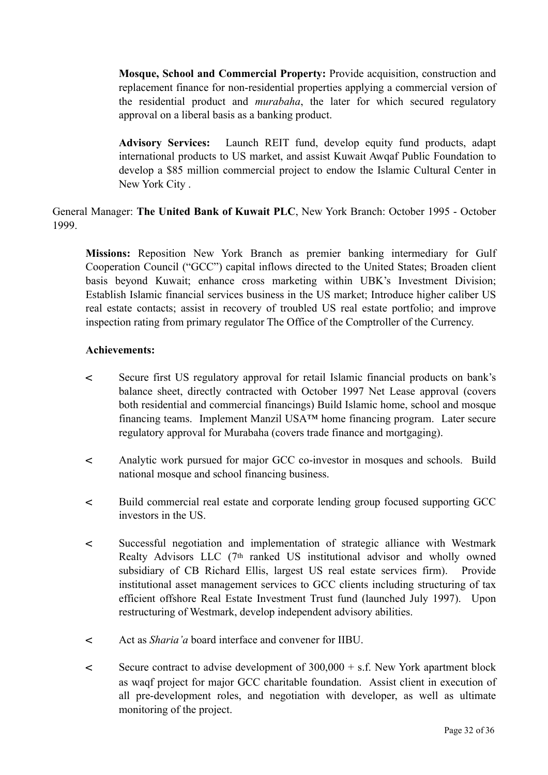**Mosque, School and Commercial Property:** Provide acquisition, construction and replacement finance for non-residential properties applying a commercial version of the residential product and *murabaha*, the later for which secured regulatory approval on a liberal basis as a banking product.

**Advisory Services:** Launch REIT fund, develop equity fund products, adapt international products to US market, and assist Kuwait Awqaf Public Foundation to develop a \$85 million commercial project to endow the Islamic Cultural Center in New York City .

General Manager: **The United Bank of Kuwait PLC**, New York Branch: October 1995 - October 1999.

**Missions:** Reposition New York Branch as premier banking intermediary for Gulf Cooperation Council ("GCC") capital inflows directed to the United States; Broaden client basis beyond Kuwait; enhance cross marketing within UBK's Investment Division; Establish Islamic financial services business in the US market; Introduce higher caliber US real estate contacts; assist in recovery of troubled US real estate portfolio; and improve inspection rating from primary regulator The Office of the Comptroller of the Currency.

## **Achievements:**

- < Secure first US regulatory approval for retail Islamic financial products on bank's balance sheet, directly contracted with October 1997 Net Lease approval (covers both residential and commercial financings) Build Islamic home, school and mosque financing teams. Implement Manzil USA™ home financing program. Later secure regulatory approval for Murabaha (covers trade finance and mortgaging).
- < Analytic work pursued for major GCC co-investor in mosques and schools. Build national mosque and school financing business.
- < Build commercial real estate and corporate lending group focused supporting GCC investors in the US.
- < Successful negotiation and implementation of strategic alliance with Westmark Realty Advisors LLC (7th ranked US institutional advisor and wholly owned subsidiary of CB Richard Ellis, largest US real estate services firm). Provide institutional asset management services to GCC clients including structuring of tax efficient offshore Real Estate Investment Trust fund (launched July 1997). Upon restructuring of Westmark, develop independent advisory abilities.
- < Act as *Sharia'a* board interface and convener for IIBU.
- < Secure contract to advise development of 300,000 + s.f. New York apartment block as waqf project for major GCC charitable foundation. Assist client in execution of all pre-development roles, and negotiation with developer, as well as ultimate monitoring of the project.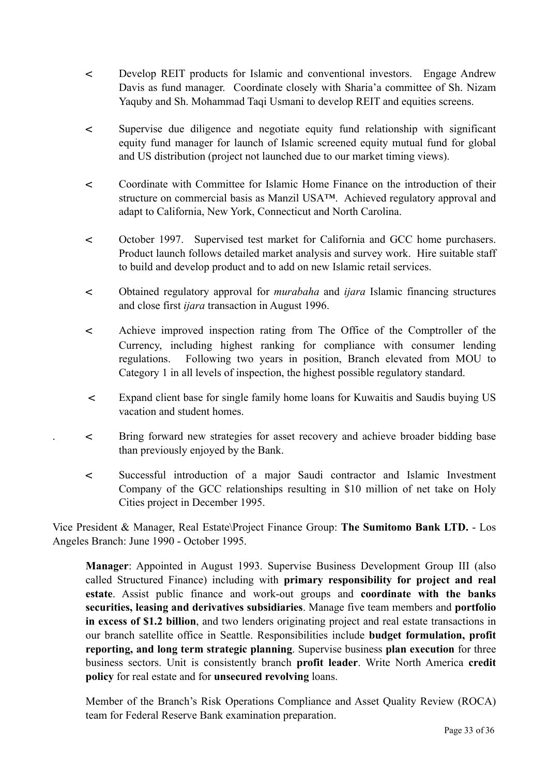- < Develop REIT products for Islamic and conventional investors. Engage Andrew Davis as fund manager. Coordinate closely with Sharia'a committee of Sh. Nizam Yaquby and Sh. Mohammad Taqi Usmani to develop REIT and equities screens.
- < Supervise due diligence and negotiate equity fund relationship with significant equity fund manager for launch of Islamic screened equity mutual fund for global and US distribution (project not launched due to our market timing views).
- < Coordinate with Committee for Islamic Home Finance on the introduction of their structure on commercial basis as Manzil USA™. Achieved regulatory approval and adapt to California, New York, Connecticut and North Carolina.
- < October 1997. Supervised test market for California and GCC home purchasers. Product launch follows detailed market analysis and survey work. Hire suitable staff to build and develop product and to add on new Islamic retail services.
- < Obtained regulatory approval for *murabaha* and *ijara* Islamic financing structures and close first *ijara* transaction in August 1996.
- < Achieve improved inspection rating from The Office of the Comptroller of the Currency, including highest ranking for compliance with consumer lending regulations. Following two years in position, Branch elevated from MOU to Category 1 in all levels of inspection, the highest possible regulatory standard.
- < Expand client base for single family home loans for Kuwaitis and Saudis buying US vacation and student homes.
- . < Bring forward new strategies for asset recovery and achieve broader bidding base than previously enjoyed by the Bank.
- < Successful introduction of a major Saudi contractor and Islamic Investment Company of the GCC relationships resulting in \$10 million of net take on Holy Cities project in December 1995.

Vice President & Manager, Real Estate\Project Finance Group: **The Sumitomo Bank LTD.** - Los Angeles Branch: June 1990 - October 1995.

**Manager**: Appointed in August 1993. Supervise Business Development Group III (also called Structured Finance) including with **primary responsibility for project and real estate**. Assist public finance and work-out groups and **coordinate with the banks securities, leasing and derivatives subsidiaries**. Manage five team members and **portfolio in excess of \$1.2 billion**, and two lenders originating project and real estate transactions in our branch satellite office in Seattle. Responsibilities include **budget formulation, profit reporting, and long term strategic planning**. Supervise business **plan execution** for three business sectors. Unit is consistently branch **profit leader**. Write North America **credit policy** for real estate and for **unsecured revolving** loans.

Member of the Branch's Risk Operations Compliance and Asset Quality Review (ROCA) team for Federal Reserve Bank examination preparation.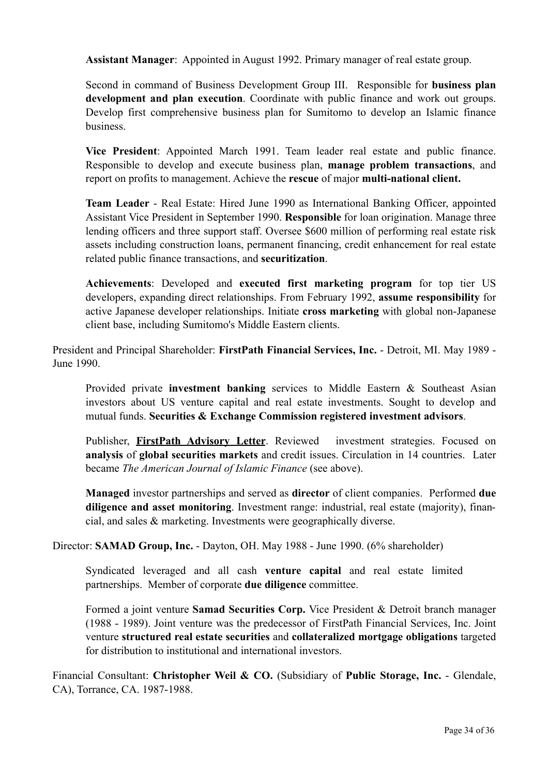**Assistant Manager**: Appointed in August 1992. Primary manager of real estate group.

Second in command of Business Development Group III. Responsible for **business plan development and plan execution**. Coordinate with public finance and work out groups. Develop first comprehensive business plan for Sumitomo to develop an Islamic finance business.

**Vice President**: Appointed March 1991. Team leader real estate and public finance. Responsible to develop and execute business plan, **manage problem transactions**, and report on profits to management. Achieve the **rescue** of major **multi-national client.**

**Team Leader** - Real Estate: Hired June 1990 as International Banking Officer, appointed Assistant Vice President in September 1990. **Responsible** for loan origination. Manage three lending officers and three support staff. Oversee \$600 million of performing real estate risk assets including construction loans, permanent financing, credit enhancement for real estate related public finance transactions, and **securitization**.

**Achievements**: Developed and **executed first marketing program** for top tier US developers, expanding direct relationships. From February 1992, **assume responsibility** for active Japanese developer relationships. Initiate **cross marketing** with global non-Japanese client base, including Sumitomo's Middle Eastern clients.

President and Principal Shareholder: **FirstPath Financial Services, Inc.** - Detroit, MI. May 1989 - June 1990.

Provided private **investment banking** services to Middle Eastern & Southeast Asian investors about US venture capital and real estate investments. Sought to develop and mutual funds. **Securities & Exchange Commission registered investment advisors**.

Publisher, **FirstPath Advisory Letter**. Reviewed investment strategies. Focused on **analysis** of **global securities markets** and credit issues. Circulation in 14 countries. Later became *The American Journal of Islamic Finance* (see above).

**Managed** investor partnerships and served as **director** of client companies. Performed **due diligence and asset monitoring**. Investment range: industrial, real estate (majority), financial, and sales & marketing. Investments were geographically diverse.

Director: **SAMAD Group, Inc.** - Dayton, OH. May 1988 - June 1990. (6% shareholder)

Syndicated leveraged and all cash **venture capital** and real estate limited partnerships. Member of corporate **due diligence** committee.

Formed a joint venture **Samad Securities Corp.** Vice President & Detroit branch manager (1988 - 1989). Joint venture was the predecessor of FirstPath Financial Services, Inc. Joint venture **structured real estate securities** and **collateralized mortgage obligations** targeted for distribution to institutional and international investors.

Financial Consultant: **Christopher Weil & CO.** (Subsidiary of **Public Storage, Inc.** - Glendale, CA), Torrance, CA. 1987-1988.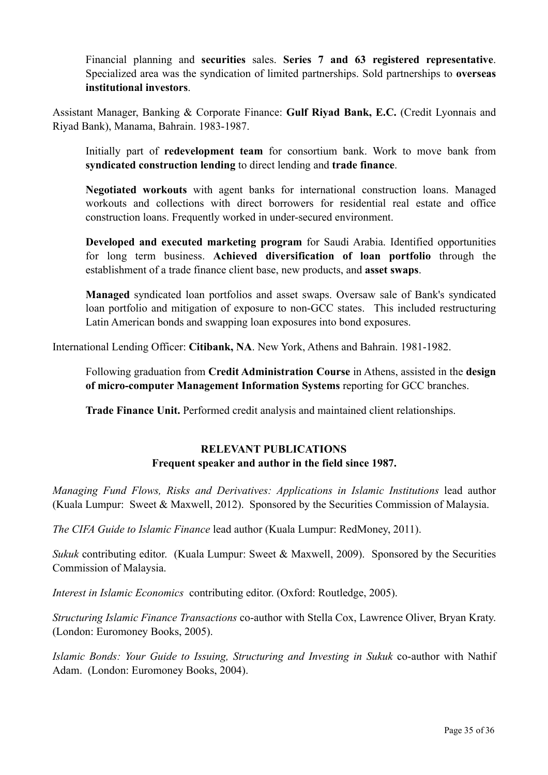Financial planning and **securities** sales. **Series 7 and 63 registered representative**. Specialized area was the syndication of limited partnerships. Sold partnerships to **overseas institutional investors**.

Assistant Manager, Banking & Corporate Finance: **Gulf Riyad Bank, E.C.** (Credit Lyonnais and Riyad Bank), Manama, Bahrain. 1983-1987.

Initially part of **redevelopment team** for consortium bank. Work to move bank from **syndicated construction lending** to direct lending and **trade finance**.

**Negotiated workouts** with agent banks for international construction loans. Managed workouts and collections with direct borrowers for residential real estate and office construction loans. Frequently worked in under-secured environment.

**Developed and executed marketing program** for Saudi Arabia. Identified opportunities for long term business. **Achieved diversification of loan portfolio** through the establishment of a trade finance client base, new products, and **asset swaps**.

**Managed** syndicated loan portfolios and asset swaps. Oversaw sale of Bank's syndicated loan portfolio and mitigation of exposure to non-GCC states. This included restructuring Latin American bonds and swapping loan exposures into bond exposures.

International Lending Officer: **Citibank, NA**. New York, Athens and Bahrain. 1981-1982.

Following graduation from **Credit Administration Course** in Athens, assisted in the **design of micro-computer Management Information Systems** reporting for GCC branches.

**Trade Finance Unit.** Performed credit analysis and maintained client relationships.

# **RELEVANT PUBLICATIONS Frequent speaker and author in the field since 1987.**

*Managing Fund Flows, Risks and Derivatives: Applications in Islamic Institutions* lead author (Kuala Lumpur: Sweet & Maxwell, 2012). Sponsored by the Securities Commission of Malaysia.

*The CIFA Guide to Islamic Finance* lead author (Kuala Lumpur: RedMoney, 2011).

*Sukuk* contributing editor. (Kuala Lumpur: Sweet & Maxwell, 2009). Sponsored by the Securities Commission of Malaysia.

*Interest in Islamic Economics* contributing editor. (Oxford: Routledge, 2005).

*Structuring Islamic Finance Transactions* co-author with Stella Cox, Lawrence Oliver, Bryan Kraty. (London: Euromoney Books, 2005).

*Islamic Bonds: Your Guide to Issuing, Structuring and Investing in Sukuk* co-author with Nathif Adam. (London: Euromoney Books, 2004).